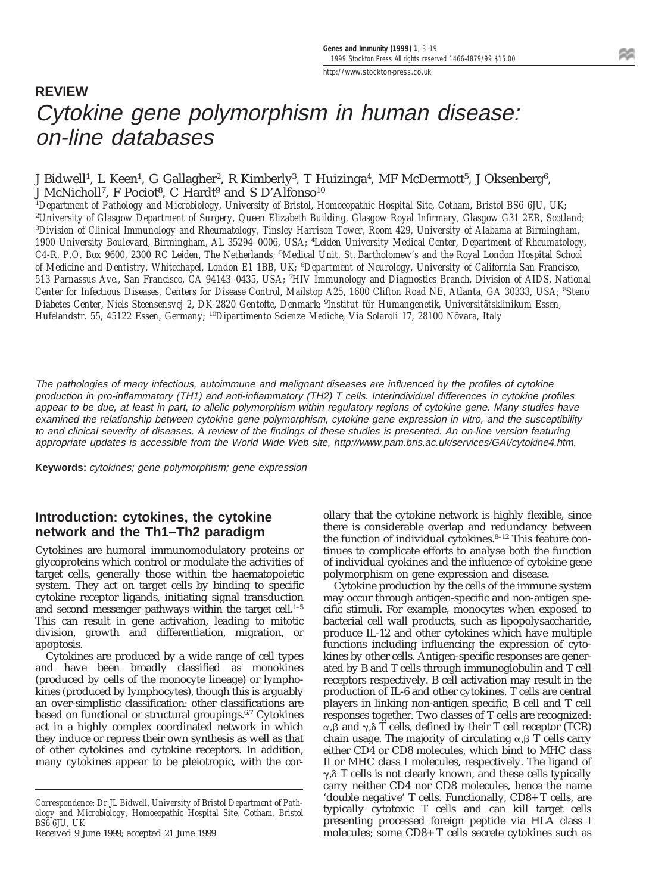# **REVIEW** Cytokine gene polymorphism in human disease: on-line databases

#### J Bidwell<sup>1</sup>, L Keen<sup>1</sup>, G Gallagher<sup>2</sup>, R Kimberly<sup>3</sup>, T Huizinga<sup>4</sup>, MF McDermott<sup>5</sup>, J Oksenberg<sup>6</sup>, J McNicholl<sup>7</sup>, F Pociot<sup>8</sup>, C Hardt<sup>9</sup> and S D'Alfonso<sup>10</sup>

1 *Department of Pathology and Microbiology, University of Bristol, Homoeopathic Hospital Site, Cotham, Bristol BS6 6JU, UK;* 2 *University of Glasgow Department of Surgery, Queen Elizabeth Building, Glasgow Royal Infirmary, Glasgow G31 2ER, Scotland;* 3 *Division of Clinical Immunology and Rheumatology, Tinsley Harrison Tower, Room 429, University of Alabama at Birmingham, 1900 University Boulevard, Birmingham, AL 35294–0006, USA;* <sup>4</sup> *Leiden University Medical Center, Department of Rheumatology, C4-R, P.O. Box 9600, 2300 RC Leiden, The Netherlands;* <sup>5</sup> *Medical Unit, St. Bartholomew's and the Royal London Hospital School of Medicine and Dentistry, Whitechapel, London E1 1BB, UK;* <sup>6</sup> *Department of Neurology, University of California San Francisco, 513 Parnassus Ave., San Francisco, CA 94143–0435, USA;* <sup>7</sup> *HIV Immunology and Diagnostics Branch, Division of AIDS, National Center for Infectious Diseases, Centers for Disease Control, Mailstop A25, 1600 Clifton Road NE, Atlanta, GA 30333, USA;* <sup>8</sup> *Steno Diabetes Center, Niels Steensensvej 2, DK-2820 Gentofte, Denmark;* <sup>9</sup> *Institut fu¨r Humangenetik, Universita¨tsklinikum Essen, Hufelandstr. 55, 45122 Essen, Germany;* <sup>10</sup>Dipartimento Scienze Mediche, Via Solaroli 17, 28100 Növara, Italy

The pathologies of many infectious, autoimmune and malignant diseases are influenced by the profiles of cytokine production in pro-inflammatory (TH1) and anti-inflammatory (TH2) T cells. Interindividual differences in cytokine profiles appear to be due, at least in part, to allelic polymorphism within regulatory regions of cytokine gene. Many studies have examined the relationship between cytokine gene polymorphism, cytokine gene expression in vitro, and the susceptibility to and clinical severity of diseases. A review of the findings of these studies is presented. An on-line version featuring appropriate updates is accessible from the World Wide Web site, http://www.pam.bris.ac.uk/services/GAI/cytokine4.htm.

**Keywords:** cytokines; gene polymorphism; gene expression

## **Introduction: cytokines, the cytokine network and the Th1–Th2 paradigm**

Cytokines are humoral immunomodulatory proteins or glycoproteins which control or modulate the activities of target cells, generally those within the haematopoietic system. They act on target cells by binding to specific cytokine receptor ligands, initiating signal transduction and second messenger pathways within the target cell.<sup>1-5</sup> This can result in gene activation, leading to mitotic division, growth and differentiation, migration, or apoptosis.

Cytokines are produced by a wide range of cell types and have been broadly classified as monokines (produced by cells of the monocyte lineage) or lymphokines (produced by lymphocytes), though this is arguably an over-simplistic classification: other classifications are based on functional or structural groupings.<sup>6,7</sup> Cytokines act in a highly complex coordinated network in which they induce or repress their own synthesis as well as that of other cytokines and cytokine receptors. In addition, many cytokines appear to be pleiotropic, with the cor-

Received 9 June 1999; accepted 21 June 1999

ollary that the cytokine network is highly flexible, since there is considerable overlap and redundancy between the function of individual cytokines.<sup>8-12</sup> This feature continues to complicate efforts to analyse both the function of individual cyokines and the influence of cytokine gene polymorphism on gene expression and disease.

Cytokine production by the cells of the immune system may occur through antigen-specific and non-antigen specific stimuli. For example, monocytes when exposed to bacterial cell wall products, such as lipopolysaccharide, produce IL-12 and other cytokines which have multiple functions including influencing the expression of cytokines by other cells. Antigen-specific responses are generated by B and T cells through immunoglobulin and T cell receptors respectively. B cell activation may result in the production of IL-6 and other cytokines. T cells are central players in linking non-antigen specific, B cell and T cell responses together. Two classes of T cells are recognized:  $\alpha,\beta$  and  $\gamma,\delta$  T cells, defined by their T cell receptor (TCR) chain usage. The majority of circulating  $\alpha,\beta$  T cells carry either CD4 or CD8 molecules, which bind to MHC class II or MHC class I molecules, respectively. The ligand of  $\gamma$ , $\delta$  T cells is not clearly known, and these cells typically carry neither CD4 nor CD8 molecules, hence the name 'double negative' T cells. Functionally, CD8+ T cells, are typically cytotoxic T cells and can kill target cells presenting processed foreign peptide via HLA class I molecules; some CD8+ T cells secrete cytokines such as

*Correspondence: Dr JL Bidwell, University of Bristol Department of Pathology and Microbiology, Homoeopathic Hospital Site, Cotham, Bristol BS6 6JU, UK*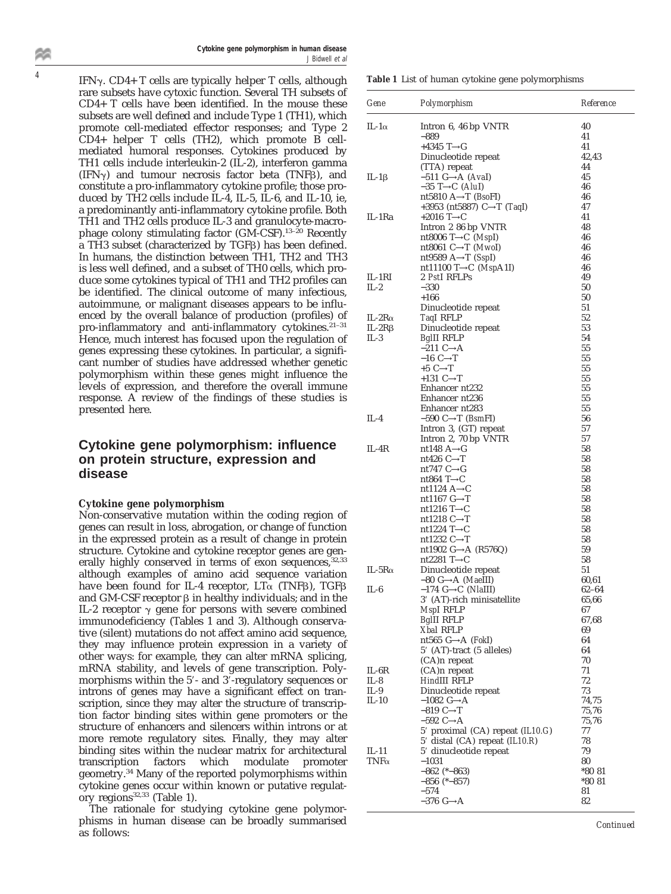**Cytokine gene polymorphism in human disease** J Bidwell et al

IFN $\gamma$ . CD4+ T cells are typically helper T cells, although rare subsets have cytoxic function. Several TH subsets of CD4+ T cells have been identified. In the mouse these subsets are well defined and include Type 1 (TH1), which promote cell-mediated effector responses; and Type 2 CD4+ helper T cells (TH2), which promote B cellmediated humoral responses. Cytokines produced by TH1 cells include interleukin-2 (IL-2), interferon gamma  $(IFN\gamma)$  and tumour necrosis factor beta  $(TNF\beta)$ , and constitute a pro-inflammatory cytokine profile; those produced by TH2 cells include IL-4, IL-5, IL-6, and IL-10, ie, a predominantly anti-inflammatory cytokine profile. Both TH1 and TH2 cells produce IL-3 and granulocyte-macrophage colony stimulating factor  $(GM-CSF)$ .<sup>13-20</sup> Recently  $\alpha$  TH3 subset (characterized by TGF $\beta$ ) has been defined. In humans, the distinction between TH1, TH2 and TH3 is less well defined, and a subset of TH0 cells, which produce some cytokines typical of TH1 and TH2 profiles can be identified. The clinical outcome of many infectious, autoimmune, or malignant diseases appears to be influenced by the overall balance of production (profiles) of pro-inflammatory and anti-inflammatory cytokines.<sup>21-31</sup> Hence, much interest has focused upon the regulation of genes expressing these cytokines. In particular, a significant number of studies have addressed whether genetic polymorphism within these genes might influence the levels of expression, and therefore the overall immune response. A review of the findings of these studies is presented here.

## **Cytokine gene polymorphism: influence on protein structure, expression and disease**

#### **Cytokine gene polymorphism**

Non-conservative mutation within the coding region of genes can result in loss, abrogation, or change of function in the expressed protein as a result of change in protein structure. Cytokine and cytokine receptor genes are generally highly conserved in terms of exon sequences, 32,33 although examples of amino acid sequence variation have been found for IL-4 receptor,  $LT\alpha$  (TNFB), TGFB and GM-CSF receptor  $\beta$  in healthy individuals; and in the IL-2 receptor  $\gamma$  gene for persons with severe combined immunodeficiency (Tables 1 and 3). Although conservative (silent) mutations do not affect amino acid sequence, they may influence protein expression in a variety of other ways: for example, they can alter mRNA splicing, mRNA stability, and levels of gene transcription. Polymorphisms within the 5'- and 3'-regulatory sequences or introns of genes may have a significant effect on transcription, since they may alter the structure of transcription factor binding sites within gene promoters or the structure of enhancers and silencers within introns or at more remote regulatory sites. Finally, they may alter binding sites within the nuclear matrix for architectural transcription factors which modulate promoter geometry.<sup>34</sup> Many of the reported polymorphisms within cytokine genes occur within known or putative regulatory regions<sup>32,33</sup> (Table 1).

The rationale for studying cytokine gene polymorphisms in human disease can be broadly summarised as follows:

|  |  |  |  | Table 1 List of human cytokine gene polymorphisms |  |  |  |  |
|--|--|--|--|---------------------------------------------------|--|--|--|--|
|--|--|--|--|---------------------------------------------------|--|--|--|--|

| Gene            | Polymorphism                                                                         | Reference        |
|-----------------|--------------------------------------------------------------------------------------|------------------|
| IL-1 $\alpha$   | Intron 6, 46 bp VNTR                                                                 | 40               |
|                 | -889<br>$+4345$ T $\rightarrow$ G                                                    | 41<br>41         |
|                 | Dinucleotide repeat                                                                  | 42,43            |
|                 | (TTA) repeat                                                                         | 44               |
| IL-1β           | $-511$ G $\rightarrow$ A (AvaI)                                                      | 45               |
|                 | $-35$ T $\rightarrow$ C (AluI)                                                       | 46               |
|                 | nt5810 $A \rightarrow T$ ( <i>BsoFI</i> )<br>+3953 (nt5887) C $\rightarrow$ T (TaqI) | 46<br>47         |
| IL-1Ra          | $+2016$ T $\rightarrow$ C                                                            | 41               |
|                 | Intron 2 86 bp VNTR                                                                  | 48               |
|                 | nt8006 T $\rightarrow$ C (MspI)                                                      | 46               |
|                 | nt8061 C $\rightarrow$ T (MwoI)                                                      | 46               |
|                 | nt9589 $A \rightarrow T$ (SspI)                                                      | 46               |
| IL-1RI          | nt11100 T $\rightarrow$ C (MspA1I)<br>2 PstI RFLPs                                   | 46<br>49         |
| $IL-2$          | $-330$                                                                               | 50               |
|                 | $+166$                                                                               | 50               |
|                 | Dinucleotide repeat                                                                  | 51               |
| IL-2 $R\alpha$  | <b>TagI RFLP</b>                                                                     | 52               |
| IL-2R $\beta$   | Dinucleotide repeat                                                                  | 53               |
| $IL-3$          | BgIII RFLP<br>$-211$ C $\rightarrow$ A                                               | 54<br>55         |
|                 | $-16$ C $\rightarrow$ T                                                              | 55               |
|                 | $+5$ C $\rightarrow$ T                                                               | 55               |
|                 | +131 $C \rightarrow T$                                                               | 55               |
|                 | Enhancer nt232                                                                       | 55               |
|                 | Enhancer nt236                                                                       | 55               |
|                 | Enhancer nt283                                                                       | 55<br>56         |
| $IL-4$          | $-590$ C $\rightarrow$ T (BsmFI)<br>Intron 3, (GT) repeat                            | 57               |
|                 | Intron 2, 70 bp VNTR                                                                 | 57               |
| IL-4R           | nt148 $A \rightarrow G$                                                              | 58               |
|                 | nt426 $C \rightarrow T$                                                              | 58               |
|                 | nt747 $C \rightarrow G$                                                              | 58               |
|                 | nt864 T $\rightarrow$ C<br>nt1124 $A \rightarrow C$                                  | 58<br>58         |
|                 | nt1167 $G \rightarrow T$                                                             | 58               |
|                 | nt1216 $T\rightarrow C$                                                              | 58               |
|                 | nt1218 $C \rightarrow T$                                                             | 58               |
|                 | nt1224 T $\rightarrow$ C                                                             | 58               |
|                 | nt1232 $C \rightarrow T$                                                             | 58               |
|                 | nt1902 G $\rightarrow$ A (R576Q)<br>nt2281 T $\rightarrow$ C                         | 59<br>58         |
| IL-5 $R\alpha$  | Dinucleotide repeat                                                                  | 51               |
|                 | $-80$ G $\rightarrow$ A (MaeIII)                                                     | 60,61            |
| IL-6            | $-174$ G $\rightarrow$ C (NlaIII)                                                    | $62 - 64$        |
|                 | 3' (AT)-rich minisatellite                                                           | 65,66            |
|                 | MspI RFLP                                                                            | 67               |
|                 | BgIII RFLP<br>Xbal RFLP                                                              | 67,68<br>69      |
|                 | nt565 G $\rightarrow$ A (FokI)                                                       | 64               |
|                 | 5' (AT)-tract (5 alleles)                                                            | 64               |
|                 | (CA)n repeat                                                                         | 70               |
| IL-6R           | (CA)n repeat                                                                         | 71               |
| IL-8            | HindIII RFLP                                                                         | 72               |
| IL-9<br>$IL-10$ | Dinucleotide repeat<br>$-1082$ G $\rightarrow$ A                                     | 73<br>74,75      |
|                 | $-819$ C $\rightarrow$ T                                                             | 75,76            |
|                 | $-592$ C $\rightarrow$ A                                                             | 75,76            |
|                 | $5'$ proximal (CA) repeat (IL10.G)                                                   | 77               |
|                 | 5' distal (CA) repeat (IL10.R)                                                       | 78               |
| IL-11           | 5' dinucleotide repeat                                                               | 79               |
| $TNF\alpha$     | $-1031$                                                                              | 80               |
|                 | $-862$ (* $-863$ )<br>$-856$ (* $-857$ )                                             | *80 81<br>*80 81 |
|                 | $-574$                                                                               | 81               |
|                 | –376 G→A                                                                             | 82               |

*Continued*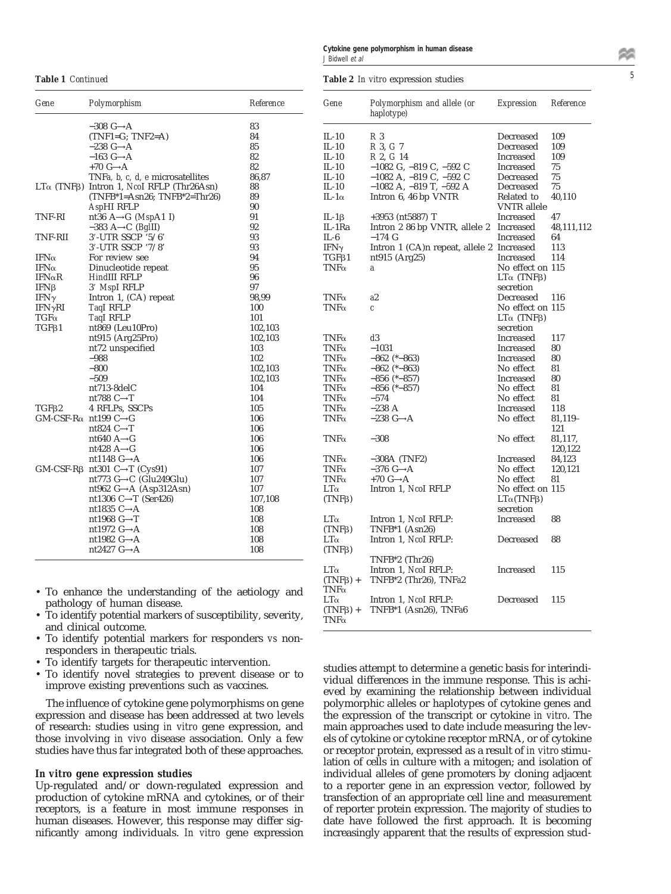|                        | Cytokine gene polymorphism in human disease |  |
|------------------------|---------------------------------------------|--|
| J Bidwell <i>et al</i> |                                             |  |

<sup>5</sup> **Table 1** *Continued* **Table 2** *In vitro* expression studies

| Gene           | Polymorphism                                                                      | Reference | Gene                                        | Polymorphism and allele (or<br>haplotype)                         | <b>Expression</b>              | Reference  |
|----------------|-----------------------------------------------------------------------------------|-----------|---------------------------------------------|-------------------------------------------------------------------|--------------------------------|------------|
|                | $-308$ G $\rightarrow$ A                                                          | 83        |                                             |                                                                   |                                |            |
|                | $(TNF1=G; TNF2=A)$                                                                | 84        | $IL-10$                                     | R <sub>3</sub>                                                    | Decreased                      | 109        |
|                | $-238$ G $\rightarrow$ A                                                          | 85        | $IL-10$                                     | R 3, G 7                                                          | Decreased                      | 109        |
|                | $-163$ G $\rightarrow$ A                                                          | 82        | $IL-10$                                     | R 2, G 14                                                         | Increased                      | 109        |
|                | $+70$ G $\rightarrow$ A                                                           | 82        | $IL-10$                                     | $-1082$ G, $-819$ C, $-592$ C                                     | Increased                      | 75         |
|                | TNFa, b, c, d, e microsatellites                                                  | 86,87     | $IL-10$                                     | $-1082$ A, $-819$ C, $-592$ C                                     | Decreased                      | 75         |
|                | LTα (TNFβ) Intron 1, NcoI RFLP (Thr26Asn)                                         | 88        | $IL-10$                                     | $-1082$ A, $-819$ T, $-592$ A                                     | Decreased                      | $75\,$     |
|                | $(TNFB^*1 = Asn26; TNFB^*2 = Thr26)$                                              | 89        | IL-1 $\alpha$                               | Intron 6, 46 bp VNTR                                              | Related to                     | 40,110     |
|                | AspHI RFLP                                                                        | 90        |                                             |                                                                   | <b>VNTR</b> allele             |            |
| TNF-RI         | nt36 $A \rightarrow G$ ( <i>MspA1 I</i> )                                         | 91        | $IL-1\beta$                                 | $+3953$ (nt5887) T                                                | Increased                      | 47         |
|                | $-383$ A $\rightarrow$ C (BgIII)                                                  | 92        | IL-1Ra                                      | Intron 2 86 bp VNTR, allele 2 Increased                           |                                | 48,111,112 |
| <b>TNF-RII</b> | 3'-UTR SSCP '5/6'                                                                 | 93        | $IL-6$                                      | $-174$ G                                                          | Increased                      | 64         |
|                | 3'-UTR SSCP '7/8'                                                                 | 93        | IFN $\gamma$                                | Intron 1 (CA)n repeat, allele 2 Increased                         |                                | 113        |
| IFN $\alpha$   | For review see                                                                    | 94        | $TGF\beta1$                                 | nt915 (Arg25)                                                     | Increased                      | 114        |
| IFN $\alpha$   | Dinucleotide repeat                                                               | 95        | $TNF\alpha$                                 | a                                                                 | No effect on 115               |            |
| $IFN\alpha R$  | HindIII RFLP                                                                      | 96        |                                             |                                                                   | $LT\alpha$ (TNF <sub>B</sub> ) |            |
| $IFN\beta$     | 3' MspI RFLP                                                                      | 97        |                                             |                                                                   | secretion                      |            |
| IFN $\gamma$   | Intron 1, $(CA)$ repeat                                                           | 98,99     | $TNF\alpha$                                 | a2                                                                | Decreased                      | 116        |
| $IFN\gammaRI$  | TagI RFLP                                                                         | 100       | $TNF\alpha$                                 | $\pmb{c}$                                                         | No effect on 115               |            |
| $TGF\alpha$    | TaqI RFLP                                                                         | 101       |                                             |                                                                   | $LT\alpha$ (TNF <sub>B</sub> ) |            |
| $TGF\beta1$    | nt869 (Leu10Pro)                                                                  | 102,103   |                                             |                                                                   | secretion                      |            |
|                | nt915 (Arg25Pro)                                                                  | 102,103   | $TNF\alpha$                                 | d3                                                                | Increased                      | 117        |
|                | nt72 unspecified                                                                  | 103       | $TNF\alpha$                                 | $-1031$                                                           | Increased                      | 80         |
|                | $-988$                                                                            | 102       | $TNF\alpha$                                 | $-862$ (* $-863$ )                                                | Increased                      | 80         |
|                | $-800$                                                                            | 102,103   | $TNF\alpha$                                 | $-862$ (* $-863$ )                                                | No effect                      | 81         |
|                | $-509$                                                                            | 102,103   | $TNF\alpha$                                 | $-856$ (* $-857$ )                                                | Increased                      | 80         |
|                | nt713-8delC                                                                       | 104       | $TNF\alpha$                                 | $-856$ (* $-857$ )                                                | No effect                      | 81         |
|                | nt788 $C \rightarrow T$                                                           | 104       | $TNF\alpha$                                 | $-574$                                                            | No effect                      | 81         |
| TGF62          | 4 RFLPs, SSCPs                                                                    | 105       | $TNF\alpha$                                 | $-238$ A                                                          | Increased                      | 118        |
|                | $GM$ -CSF-R $\alpha$ nt199 C $\rightarrow$ G                                      | 106       | $TNF\alpha$                                 | $-238$ G $\rightarrow$ A                                          | No effect                      | 81,119-    |
|                | nt824 $C \rightarrow T$                                                           | 106       |                                             |                                                                   |                                | 121        |
|                | nt $640$ A $\rightarrow$ G                                                        | 106       | $TNF\alpha$                                 | $-308$                                                            | No effect                      | 81,117,    |
|                | nt428 $A \rightarrow G$                                                           | 106       |                                             |                                                                   |                                | 120,122    |
|                | nt1148 $G \rightarrow A$                                                          | 106       | $TNF\alpha$                                 | $-308A$ (TNF2)                                                    | Increased                      | 84,123     |
|                | $GM$ -CSF-R $\beta$ nt301 C $\rightarrow$ T (Cys91)                               | 107       | $TNF\alpha$                                 | $-376$ G $\rightarrow$ A                                          | No effect                      | 120,121    |
|                | nt773 $G \rightarrow C$ (Glu249Glu)                                               | 107       | $TNF\alpha$                                 | +70 $G \rightarrow A$                                             | No effect                      | 81         |
|                | nt962 $G \rightarrow A$ (Asp312Asn)                                               | 107       | $LT\alpha$                                  | Intron 1, Ncol RFLP                                               | No effect on 115               |            |
|                | nt1306 C $\rightarrow$ T (Ser426)                                                 | 107,108   | $(TNF\beta)$                                |                                                                   | $LT\alpha(TNF\beta)$           |            |
|                | nt1835 $C \rightarrow A$                                                          | 108       |                                             |                                                                   | secretion                      |            |
|                | nt1968 $G \rightarrow T$                                                          | 108       | $LT\alpha$                                  | Intron 1, Ncol RFLP:                                              | Increased                      | 88         |
|                | nt1972 $G \rightarrow A$                                                          | 108       | $(TNF\beta)$                                | $TNFB*1$ (Asn26)                                                  |                                |            |
|                | nt1982 $G \rightarrow A$                                                          | 108       | $LT\alpha$                                  | Intron 1, Ncol RFLP:                                              | Decreased                      | 88         |
|                | nt2427 $G \rightarrow A$                                                          | 108       | $(TNF\beta)$                                |                                                                   |                                |            |
|                |                                                                                   |           | $LT\alpha$<br>$(TNF\beta)$ +<br>$TNF\alpha$ | $TNFB*2$ (Thr26)<br>Intron 1, Ncol RFLP:<br>TNFB*2 (Thr26), TNFa2 | Increased                      | 115        |
|                | · To enhance the understanding of the aetiology and<br>nathology of human disease |           | $LT\alpha$                                  | Intron 1, Ncol RFLP:                                              | Decreased                      | 115        |

- pathology of human disease.
- To identify potential markers of susceptibility, severity, and clinical outcome.
- To identify potential markers for responders *vs* nonresponders in therapeutic trials.
- To identify targets for therapeutic intervention.
- To identify novel strategies to prevent disease or to improve existing preventions such as vaccines.

The influence of cytokine gene polymorphisms on gene expression and disease has been addressed at two levels of research: studies using *in vitro* gene expression, and those involving *in vivo* disease association. Only a few studies have thus far integrated both of these approaches.

#### *In vitro* **gene expression studies**

Up-regulated and/or down-regulated expression and production of cytokine mRNA and cytokines, or of their receptors, is a feature in most immune responses in human diseases. However, this response may differ significantly among individuals. *In vitro* gene expression studies attempt to determine a genetic basis for interindividual differences in the immune response. This is achieved by examining the relationship between individual polymorphic alleles or haplotypes of cytokine genes and the expression of the transcript or cytokine *in vitro*. The main approaches used to date include measuring the levels of cytokine or cytokine receptor mRNA, or of cytokine or receptor protein, expressed as a result of *in vitro* stimulation of cells in culture with a mitogen; and isolation of individual alleles of gene promoters by cloning adjacent to a reporter gene in an expression vector, followed by transfection of an appropriate cell line and measurement of reporter protein expression. The majority of studies to date have followed the first approach. It is becoming increasingly apparent that the results of expression stud-

(TNFb) + TNFB\*1 (Asn26), TNF*a*6

 $TNF\alpha$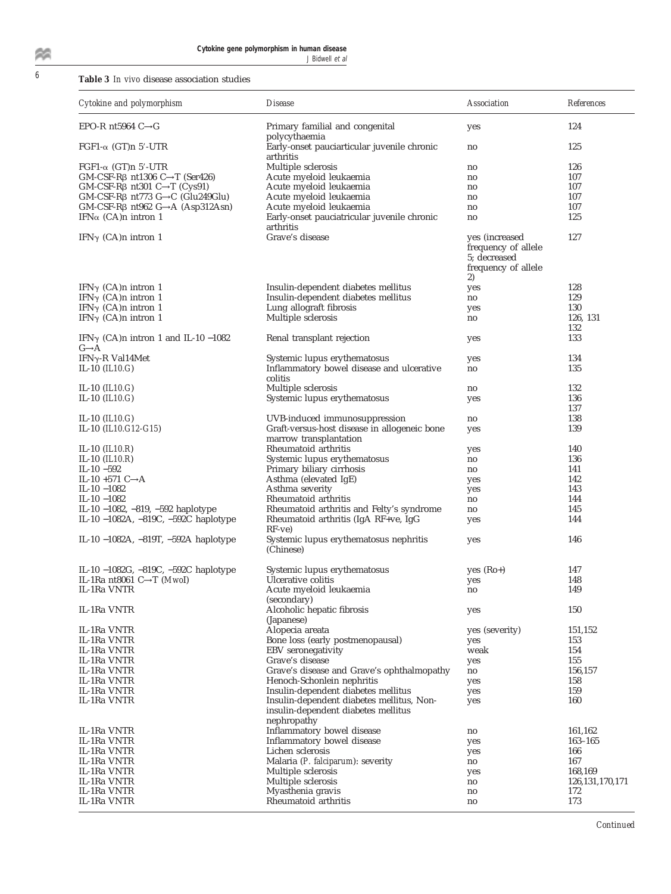敛

# <sup>6</sup> **Table 3** *In vivo* disease association studies

| Cytokine and polymorphism                                        | <i>Disease</i>                                                         | Association                                                                        | <b>References</b>  |
|------------------------------------------------------------------|------------------------------------------------------------------------|------------------------------------------------------------------------------------|--------------------|
| EPO-R nt5964 $C \rightarrow G$                                   | Primary familial and congenital<br>polycythaemia                       | yes                                                                                | 124                |
| FGF1- $\alpha$ (GT)n 5'-UTR                                      | Early-onset pauciarticular juvenile chronic<br>arthritis               | no                                                                                 | 125                |
| $FGF1-\alpha$ (GT)n 5'-UTR                                       | Multiple sclerosis                                                     | no                                                                                 | 126                |
| $GM$ -CSF-R $\beta$ nt1306 C $\rightarrow$ T (Ser426)            | Acute myeloid leukaemia                                                | no                                                                                 | 107                |
| $GM$ -CSF-R $\beta$ nt301 C $\rightarrow$ T (Cys91)              | Acute myeloid leukaemia                                                | no                                                                                 | 107                |
| $GM$ -CSF-R $\beta$ nt773 G $\rightarrow$ C (Glu249Glu)          | Acute myeloid leukaemia                                                | no                                                                                 | 107                |
| $GM$ -CSF-R $\beta$ nt962 $G \rightarrow A$ (Asp312Asn)          | Acute myeloid leukaemia                                                | no                                                                                 | 107                |
| IFN $\alpha$ (CA)n intron 1                                      | Early-onset pauciatricular juvenile chronic<br>arthritis               | no                                                                                 | 125                |
| IFN $\gamma$ (CA)n intron 1                                      | Grave's disease                                                        | yes (increased<br>frequency of allele<br>5; decreased<br>frequency of allele<br>2) | 127                |
| IFN $\gamma$ (CA)n intron 1                                      | Insulin-dependent diabetes mellitus                                    | yes                                                                                | 128                |
| IFN $\gamma$ (CA)n intron 1                                      | Insulin-dependent diabetes mellitus                                    | no                                                                                 | 129                |
| IFN $\gamma$ (CA)n intron 1                                      | Lung allograft fibrosis                                                | yes                                                                                | 130                |
| IFN $\gamma$ (CA)n intron 1                                      | Multiple sclerosis                                                     | no                                                                                 | 126, 131           |
|                                                                  |                                                                        |                                                                                    | 132                |
| IFN $\gamma$ (CA)n intron 1 and IL-10 -1082<br>$G \rightarrow A$ | Renal transplant rejection                                             | yes                                                                                | 133                |
| IFN $\gamma$ -R Val14Met                                         | Systemic lupus erythematosus                                           | yes                                                                                | 134                |
| IL-10 $(IL10.G)$                                                 | Inflammatory bowel disease and ulcerative<br>colitis                   | no                                                                                 | 135                |
| IL-10 $(IL10.G)$                                                 | Multiple sclerosis                                                     | no                                                                                 | 132                |
| IL-10 $(IL10.G)$                                                 | Systemic lupus erythematosus                                           | yes                                                                                | 136                |
|                                                                  |                                                                        |                                                                                    | 137                |
| IL-10 $(IL10.G)$                                                 | UVB-induced immunosuppression                                          | no                                                                                 | 138                |
| IL-10 $(II.10.G12-G15)$                                          | Graft-versus-host disease in allogeneic bone<br>marrow transplantation | yes                                                                                | 139                |
| IL-10 $(IL10.R)$                                                 | Rheumatoid arthritis                                                   |                                                                                    | 140                |
| IL-10 $(IL10.R)$                                                 | Systemic lupus erythematosus                                           | yes<br>no                                                                          | 136                |
|                                                                  |                                                                        |                                                                                    | 141                |
| IL-10 $-592$                                                     | Primary biliary cirrhosis                                              | no                                                                                 |                    |
| IL-10 $+571$ C $\rightarrow$ A                                   | Asthma (elevated IgE)                                                  | yes                                                                                | 142                |
| IL-10 $-1082$                                                    | Asthma severity                                                        | yes                                                                                | 143                |
| IL-10 $-1082$                                                    | Rheumatoid arthritis                                                   | no                                                                                 | 144                |
| IL-10 $-1082$ , $-819$ , $-592$ haplotype                        | Rheumatoid arthritis and Felty's syndrome                              | no                                                                                 | 145                |
| IL-10 $-1082A$ , $-819C$ , $-592C$ haplotype                     | Rheumatoid arthritis (IgA RF+ve, IgG<br>$RF-ve)$                       | yes                                                                                | 144                |
| IL-10 $-1082A$ , $-819T$ , $-592A$ haplotype                     | Systemic lupus erythematosus nephritis<br>(Chinese)                    | yes                                                                                | 146                |
| IL-10 $-1082G$ , $-819C$ , $-592C$ haplotype                     | Systemic lupus erythematosus                                           | yes $(Ro+)$                                                                        | 147                |
| IL-1Ra nt8061 C $\rightarrow$ T (MwoI)                           | Ulcerative colitis                                                     |                                                                                    | 148                |
|                                                                  | Acute myeloid leukaemia                                                | yes                                                                                |                    |
| IL-1Ra VNTR                                                      | (secondary)                                                            | no                                                                                 | 149                |
| IL-1Ra VNTR                                                      | Alcoholic hepatic fibrosis<br>(Japanese)                               | yes                                                                                | 150                |
| IL-1Ra VNTR                                                      | Alopecia areata                                                        | yes (severity)                                                                     | 151,152            |
| IL-1Ra VNTR                                                      | Bone loss (early postmenopausal)                                       | yes                                                                                | 153                |
| IL-1Ra VNTR                                                      | EBV seronegativity                                                     | weak                                                                               | 154                |
| IL-1Ra VNTR                                                      | Grave's disease                                                        | yes                                                                                | 155                |
| IL-1Ra VNTR                                                      | Grave's disease and Grave's ophthalmopathy                             | no                                                                                 | 156,157            |
| IL-1Ra VNTR                                                      | Henoch-Schonlein nephritis                                             | yes                                                                                | 158                |
| IL-1Ra VNTR                                                      | Insulin-dependent diabetes mellitus                                    | yes                                                                                | 159                |
| IL-1Ra VNTR                                                      | Insulin-dependent diabetes mellitus, Non-                              | yes                                                                                | 160                |
|                                                                  | insulin-dependent diabetes mellitus<br>nephropathy                     |                                                                                    |                    |
| IL-1Ra VNTR                                                      | Inflammatory bowel disease                                             | no                                                                                 | 161,162            |
| IL-1Ra VNTR                                                      | Inflammatory bowel disease                                             | yes                                                                                | 163-165            |
| IL-1Ra VNTR                                                      | Lichen sclerosis                                                       | yes                                                                                | 166                |
| IL-1Ra VNTR                                                      | Malaria (P. falciparum): severity                                      | no                                                                                 | 167                |
| IL-1Ra VNTR                                                      | Multiple sclerosis                                                     | yes                                                                                | 168,169            |
| IL-1Ra VNTR                                                      | Multiple sclerosis                                                     | no                                                                                 | 126, 131, 170, 171 |
| IL-1Ra VNTR                                                      | Myasthenia gravis                                                      | no                                                                                 | 172                |
| IL-1Ra VNTR                                                      | Rheumatoid arthritis                                                   |                                                                                    | 173                |
|                                                                  |                                                                        | no                                                                                 |                    |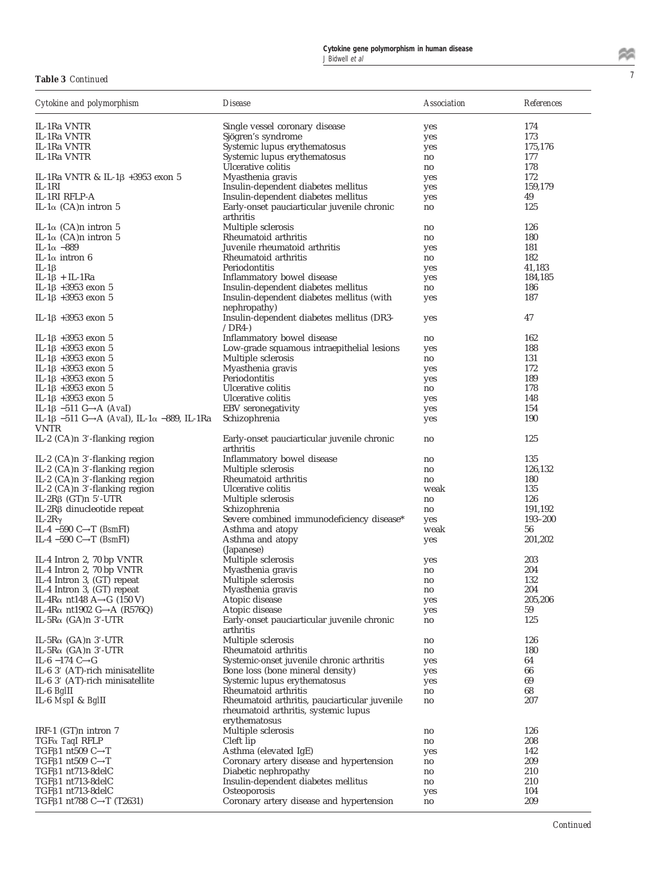<sup>7</sup> **Table 3** *Continued*

| Cytokine and polymorphism                                                             | <i>Disease</i>                                                           | <i><b>Association</b></i> | References |
|---------------------------------------------------------------------------------------|--------------------------------------------------------------------------|---------------------------|------------|
| IL-1Ra VNTR                                                                           | Single vessel coronary disease                                           | yes                       | 174        |
| IL-1Ra VNTR                                                                           | Sjögren's syndrome                                                       | yes                       | 173        |
| IL-1Ra VNTR                                                                           | Systemic lupus erythematosus                                             | yes                       | 175,176    |
| IL-1Ra VNTR                                                                           | Systemic lupus erythematosus                                             | no                        | 177        |
|                                                                                       | Ulcerative colitis                                                       | no                        | 178        |
| IL-1Ra VNTR & IL-1 $\beta$ +3953 exon 5                                               | Myasthenia gravis                                                        | yes                       | 172        |
| $IL-1RI$                                                                              | Insulin-dependent diabetes mellitus                                      | yes                       | 159,179    |
| IL-1RI RFLP-A                                                                         | Insulin-dependent diabetes mellitus                                      | yes                       | 49         |
| IL-1 $\alpha$ (CA)n intron 5                                                          | Early-onset pauciarticular juvenile chronic<br>arthritis                 | no                        | 125        |
| IL-1 $\alpha$ (CA)n intron 5                                                          | Multiple sclerosis                                                       | no                        | 126        |
| IL-1 $\alpha$ (CA)n intron 5                                                          | Rheumatoid arthritis                                                     | no                        | 180        |
| IL-1 $\alpha$ -889                                                                    | Juvenile rheumatoid arthritis                                            | yes                       | 181        |
| IL-1 $\alpha$ intron 6                                                                | Rheumatoid arthritis                                                     | no                        | 182        |
| IL-1 $\beta$                                                                          | Periodontitis                                                            | yes                       | 41,183     |
| $IL-1\beta + IL-1Ra$                                                                  | Inflammatory bowel disease                                               | yes                       | 184,185    |
| IL-1β +3953 exon 5                                                                    | Insulin-dependent diabetes mellitus                                      | no                        | 186        |
| IL-1β +3953 exon 5                                                                    | Insulin-dependent diabetes mellitus (with                                | yes                       | 187        |
| IL-1β +3953 exon 5                                                                    | nephropathy)<br>Insulin-dependent diabetes mellitus (DR3-                | yes                       | 47         |
|                                                                                       | $/DR4-$                                                                  |                           | 162        |
| IL-1β +3953 exon 5<br>IL-1β +3953 exon 5                                              | Inflammatory bowel disease<br>Low-grade squamous intraepithelial lesions | no                        | 188        |
|                                                                                       | Multiple sclerosis                                                       | yes                       | 131        |
| IL-1β +3953 exon 5                                                                    |                                                                          | no                        |            |
| IL-1β +3953 exon 5                                                                    | Myasthenia gravis                                                        | yes                       | 172        |
| IL-1β +3953 exon 5                                                                    | Periodontitis                                                            | yes                       | 189        |
| IL-1 $\beta$ +3953 exon 5                                                             | Ulcerative colitis                                                       | no                        | 178        |
| IL-1 $\beta$ +3953 exon 5                                                             | Ulcerative colitis                                                       | yes                       | 148        |
| IL-1 $\beta$ –511 G $\rightarrow$ A (Aval)                                            | EBV seronegativity                                                       | yes                       | 154        |
| IL-1 $\beta$ -511 G $\rightarrow$ A (Aval), IL-1 $\alpha$ -889, IL-1Ra<br><b>VNTR</b> | Schizophrenia                                                            | yes                       | 190        |
| IL-2 $(CA)$ n 3'-flanking region                                                      | Early-onset pauciarticular juvenile chronic<br>arthritis                 | no                        | 125        |
| IL-2 $(CA)$ n 3'-flanking region                                                      | Inflammatory bowel disease                                               | no                        | 135        |
| IL-2 (CA)n 3'-flanking region                                                         | Multiple sclerosis                                                       | no                        | 126,132    |
| IL-2 (CA)n 3'-flanking region                                                         | Rheumatoid arthritis                                                     | no                        | 180        |
| IL-2 (CA)n 3'-flanking region                                                         | Ulcerative colitis                                                       | weak                      | 135        |
| IL-2R $\beta$ (GT)n 5'-UTR                                                            | Multiple sclerosis                                                       | no                        | 126        |
| IL-2R $\beta$ dinucleotide repeat                                                     | Schizophrenia                                                            | no                        | 191,192    |
| IL-2R $\gamma$                                                                        | Severe combined immunodeficiency disease*                                | yes                       | 193-200    |
| IL-4 -590 C $\rightarrow$ T ( <i>BsmFI</i> )                                          | Asthma and atopy                                                         | weak                      | 56         |
| IL-4 -590 C $\rightarrow$ T (BsmFI)                                                   | Asthma and atopy<br>(Japanese)                                           | yes                       | 201,202    |
| IL-4 Intron 2, 70 bp VNTR                                                             | Multiple sclerosis                                                       | yes                       | 203        |
| IL-4 Intron 2, 70 bp VNTR                                                             | Myasthenia gravis                                                        | no                        | 204        |
| IL-4 Intron 3, (GT) repeat                                                            | Multiple sclerosis                                                       | no                        | 132        |
| IL-4 Intron 3, (GT) repeat                                                            | Myasthenia gravis                                                        | no                        | 204        |
| IL-4R $\alpha$ nt148 A $\rightarrow$ G (150 V)                                        | Atopic disease                                                           | yes                       | 205,206    |
| IL-4R $\alpha$ nt1902 G $\rightarrow$ A (R576Q)                                       | Atopic disease                                                           | yes                       | 59         |
| IL-5 $R\alpha$ (GA)n 3'-UTR                                                           | Early-onset pauciarticular juvenile chronic<br>arthritis                 | no                        | 125        |
| IL-5 $R\alpha$ (GA)n 3'-UTR                                                           | Multiple sclerosis                                                       | no                        | 126        |
| IL-5 $R\alpha$ (GA)n 3'-UTR                                                           | Rheumatoid arthritis                                                     | no                        | 180        |
| IL-6 $-174$ C $\rightarrow$ G                                                         | Systemic-onset juvenile chronic arthritis                                | yes                       | 64         |
| IL-6 3' (AT)-rich minisatellite                                                       | Bone loss (bone mineral density)                                         | yes                       | 66         |
| IL-6 3' (AT)-rich minisatellite                                                       | Systemic lupus erythematosus                                             | yes                       | 69         |
| IL-6 BgIII                                                                            | Rheumatoid arthritis                                                     | no                        | 68         |
| IL-6 MspI & BgIII                                                                     | Rheumatoid arthritis, pauciarticular juvenile                            | no                        | 207        |
|                                                                                       | rheumatoid arthritis, systemic lupus<br>erythematosus                    |                           |            |
| IRF-1 (GT)n intron 7                                                                  | Multiple sclerosis                                                       | no                        | 126        |
| $TGF\alpha$ TaqI RFLP                                                                 | Cleft lip                                                                | no                        | 208        |
| TGF <sub>B</sub> 1 nt509 C $\rightarrow$ T                                            | Asthma (elevated IgE)                                                    |                           | 142        |
| TGF $\beta$ 1 nt509 C $\rightarrow$ T                                                 | Coronary artery disease and hypertension                                 | yes                       | 209        |
| $TGF\beta1$ nt713-8delC                                                               | Diabetic nephropathy                                                     | no                        | 210        |
| TGF <sub>B1</sub> nt713-8delC                                                         | Insulin-dependent diabetes mellitus                                      | no<br>no                  | 210        |
| $TGF\beta1$ nt713-8delC                                                               | Osteoporosis                                                             |                           | 104        |
| TGF $\beta$ 1 nt788 C $\rightarrow$ T (T2631)                                         | Coronary artery disease and hypertension                                 | yes<br>no                 | 209        |
|                                                                                       |                                                                          |                           |            |

*Continued*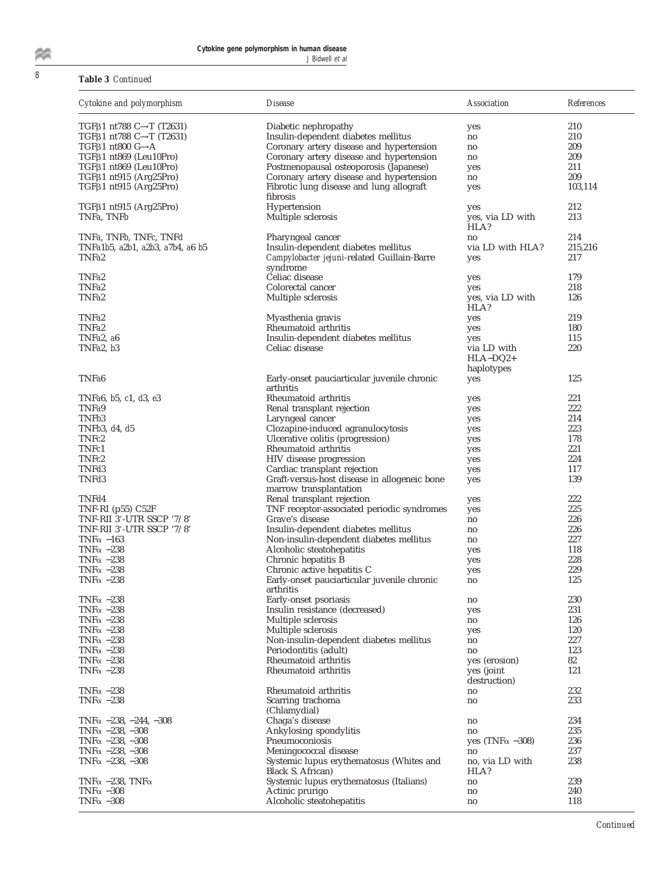# <sup>8</sup> **Table 3** *Continued*

| Cytokine and polymorphism                       | <i>Disease</i>                                           | Association              | <b>References</b> |
|-------------------------------------------------|----------------------------------------------------------|--------------------------|-------------------|
| TGF $\beta$ 1 nt788 C $\rightarrow$ T (T2631)   | Diabetic nephropathy                                     | yes                      | 210               |
| TGFβ1 nt788 C→T (T2631)                         | Insulin-dependent diabetes mellitus                      | no                       | 210               |
| TGF $\beta$ 1 nt800 G $\rightarrow$ A           | Coronary artery disease and hypertension                 | no                       | 209               |
| TGF <sub>B1</sub> nt869 (Leu10Pro)              | Coronary artery disease and hypertension                 | no                       | 209               |
| TGF <sub>B1</sub> nt869 (Leu10Pro)              | Postmenopausal osteoporosis (Japanese)                   | yes                      | 211               |
| TGF <sub>B1</sub> nt915 (Arg <sub>25Pro)</sub>  | Coronary artery disease and hypertension                 | no                       | 209               |
| TGF <sub>B1</sub> nt915 (Arg <sub>25Pro)</sub>  | Fibrotic lung disease and lung allograft                 | yes                      | 103,114           |
|                                                 | fibrosis                                                 |                          |                   |
| TGF <sub>B1</sub> nt915 (Arg <sub>25</sub> Pro) | Hypertension                                             | yes                      | 212               |
| TNFa, TNFb                                      | Multiple sclerosis                                       | yes, via LD with         | 213               |
|                                                 |                                                          | HLA?                     |                   |
| TNFa, TNFb, TNFc, TNFd                          | Pharyngeal cancer                                        | no                       | 214               |
| TNFa1b5, a2b1, a2b3, a7b4, a6 b5                | Insulin-dependent diabetes mellitus                      | via LD with HLA?         | 215,216           |
| TNFa2                                           | Campylobacter jejuni-related Guillain-Barre              | yes                      | 217               |
|                                                 | syndrome                                                 |                          |                   |
| TNFa2                                           | Celiac disease                                           | yes                      | 179               |
| TNFa2                                           | Colorectal cancer                                        | yes                      | 218               |
| TNFa2                                           | Multiple sclerosis                                       | yes, via LD with<br>HLA? | 126               |
| TNFa2                                           | Myasthenia gravis                                        | yes                      | 219               |
| TNFa2                                           | Rheumatoid arthritis                                     |                          | 180               |
| TNFa2. a6                                       | Insulin-dependent diabetes mellitus                      | yes                      | 115               |
| TNFa2, b3                                       | Celiac disease                                           | yes<br>via LD with       | 220               |
|                                                 |                                                          | $HLA-DQ2+$               |                   |
|                                                 |                                                          | haplotypes               |                   |
| TNFa6                                           | Early-onset pauciarticular juvenile chronic              | yes                      | 125               |
|                                                 | arthritis                                                |                          |                   |
| TNFa6, b5, c1, d3, e3                           | Rheumatoid arthritis                                     | yes                      | 221               |
| TNFa9                                           | Renal transplant rejection                               | yes                      | 222               |
| TNFb3                                           | Laryngeal cancer                                         | yes                      | 214               |
| TNF $b3, d4, d5$                                | Clozapine-induced agranulocytosis                        | yes                      | 223               |
| TNFc2                                           | Ulcerative colitis (progression)                         | yes                      | 178               |
| TNFc1                                           | Rheumatoid arthritis                                     | yes                      | 221               |
| TNFc2                                           | HIV disease progression                                  | yes                      | 224               |
| TNFd3                                           | Cardiac transplant rejection                             | yes                      | 117               |
| TNFd3                                           | Graft-versus-host disease in allogeneic bone             | yes                      | 139               |
|                                                 | marrow transplantation                                   |                          |                   |
| TNFd4                                           | Renal transplant rejection                               | yes                      | 222               |
| TNF-RI $(p55)$ C52F                             | TNF receptor-associated periodic syndromes               | yes                      | 225               |
| TNF-RII 3'-UTR SSCP '7/8'                       | Grave's disease                                          | no                       | 226               |
| TNF-RII 3'-UTR SSCP '7/8'                       | Insulin-dependent diabetes mellitus                      | no                       | 226               |
| TNF $\alpha$ -163                               | Non-insulin-dependent diabetes mellitus                  | no                       | 227               |
| TNF $\alpha$ -238                               | Alcoholic steatohepatitis                                | yes                      | 118               |
| TNF $\alpha$ -238                               | Chronic hepatitis B                                      | yes                      | 228               |
| TNF $\alpha$ -238                               | Chronic active hepatitis C                               | yes                      | 229<br>125        |
| TNF $\alpha$ -238                               | Early-onset pauciarticular juvenile chronic<br>arthritis | no                       |                   |
| TNF $\alpha$ -238                               | Early-onset psoriasis                                    | no                       | 230               |
| TNF $\alpha$ -238                               | Insulin resistance (decreased)                           | yes                      | 231               |
| TNF $\alpha$ -238                               | Multiple sclerosis                                       | no                       | 126               |
| TNF $\alpha$ -238                               | Multiple sclerosis                                       | yes                      | 120               |
| TNF $\alpha$ -238                               | Non-insulin-dependent diabetes mellitus                  | no                       | 227               |
| TNF $\alpha$ -238                               | Periodontitis (adult)                                    | no                       | 123               |
| TNF $\alpha$ -238                               | Rheumatoid arthritis                                     | yes (erosion)            | 82                |
| TNF $\alpha$ -238                               | Rheumatoid arthritis                                     | yes (joint               | 121               |
|                                                 |                                                          | destruction)             |                   |
| TNF $\alpha$ -238                               | Rheumatoid arthritis                                     | no                       | 232               |
| TNF $\alpha$ -238                               | Scarring trachoma                                        | no                       | 233               |
|                                                 | (Chlamydial)                                             |                          |                   |
| TNF $\alpha$ -238, -244, -308                   | Chaga's disease                                          | no                       | 234               |
| TNF $\alpha$ -238, -308                         | Ankylosing spondylitis                                   | no                       | 235               |
| TNF $\alpha$ -238, -308                         | Pneumoconiosis                                           | yes (TNF $\alpha$ -308)  | 236               |
| TNF $\alpha$ -238, -308                         | Meningococcal disease                                    | no                       | 237               |
| TNF $\alpha$ -238, -308                         | Systemic lupus erythematosus (Whites and                 | no, via LD with          | 238               |
|                                                 | Black S. African)                                        | HLA?                     |                   |
| TNF $\alpha$ –238, TNF $\alpha$                 | Systemic lupus erythematosus (Italians)                  | no                       | 239               |
| TNF $\alpha$ -308                               | Actinic prurigo                                          | no                       | 240               |
| TNF $\alpha$ -308                               | Alcoholic steatohepatitis                                | no                       | 118               |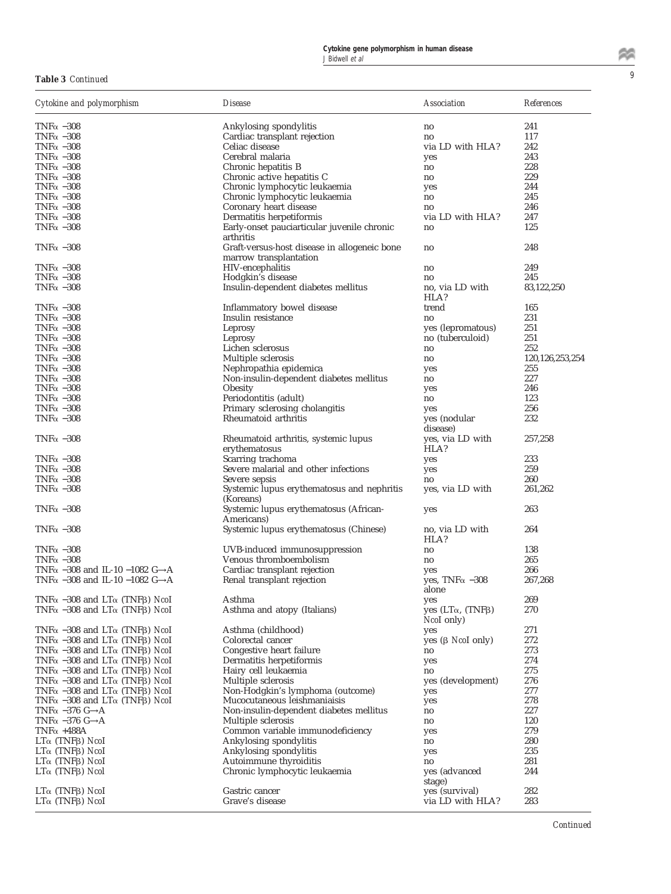| Cytokine and polymorphism                                       | <i>Disease</i>                                                         | Association                                      | <b>References</b>  |
|-----------------------------------------------------------------|------------------------------------------------------------------------|--------------------------------------------------|--------------------|
| TNF $\alpha$ –308                                               | Ankylosing spondylitis                                                 | no                                               | 241                |
| TNF $\alpha$ -308                                               | Cardiac transplant rejection                                           | no                                               | 117                |
| TNF $\alpha$ –308                                               | Celiac disease                                                         | via LD with HLA?                                 | 242                |
| TNF $\alpha$ -308                                               | Cerebral malaria                                                       | yes                                              | 243                |
| TNF $\alpha$ -308                                               | Chronic hepatitis B                                                    | no                                               | 228                |
| TNF $\alpha$ -308                                               | Chronic active hepatitis C                                             | no                                               | 229                |
| TNF $\alpha$ -308                                               | Chronic lymphocytic leukaemia                                          | yes                                              | 244                |
| TNF $\alpha$ -308                                               | Chronic lymphocytic leukaemia                                          | no                                               | 245                |
| TNF $\alpha$ -308                                               | Coronary heart disease                                                 | no                                               | 246                |
| TNF $\alpha$ -308                                               | Dermatitis herpetiformis                                               | via LD with HLA?                                 | 247                |
| TNF $\alpha$ -308                                               | Early-onset pauciarticular juvenile chronic<br>arthritis               | no                                               | 125                |
| TNF $\alpha$ -308                                               | Graft-versus-host disease in allogeneic bone<br>marrow transplantation | no                                               | 248                |
| TNF $\alpha$ -308                                               | HIV-encephalitis                                                       | no                                               | 249                |
| TNF $\alpha$ -308                                               | Hodgkin's disease                                                      | no                                               | 245                |
| TNF $\alpha$ -308                                               | Insulin-dependent diabetes mellitus                                    | no, via LD with<br>HLA?                          | 83,122,250         |
| TNF $\alpha$ -308                                               | Inflammatory bowel disease                                             | trend                                            | 165                |
| TNF $\alpha$ -308                                               | Insulin resistance                                                     | no                                               | 231                |
| TNF $\alpha$ -308                                               | Leprosy                                                                | yes (lepromatous)                                | 251                |
| TNF $\alpha$ -308                                               | Leprosy                                                                | no (tuberculoid)                                 | 251                |
| TNF $\alpha$ -308                                               | Lichen sclerosus                                                       | no                                               | 252                |
| TNF $\alpha$ -308                                               | Multiple sclerosis                                                     | no                                               | 120, 126, 253, 254 |
| TNF $\alpha$ -308                                               | Nephropathia epidemica                                                 | yes                                              | 255                |
| TNF $\alpha$ -308                                               | Non-insulin-dependent diabetes mellitus                                | no                                               | 227                |
| TNF $\alpha$ -308                                               | Obesity                                                                | yes                                              | 246                |
| TNF $\alpha$ -308                                               | Periodontitis (adult)                                                  | no                                               | 123                |
| TNF $\alpha$ -308<br>TNF $\alpha$ -308                          | Primary sclerosing cholangitis<br>Rheumatoid arthritis                 | yes<br>yes (nodular<br>disease)                  | 256<br>232         |
| TNF $\alpha$ -308                                               | Rheumatoid arthritis, systemic lupus<br>erythematosus                  | yes, via LD with<br>HLA?                         | 257,258            |
| TNF $\alpha$ -308                                               | Scarring trachoma                                                      | yes                                              | 233                |
| TNF $\alpha$ -308                                               | Severe malarial and other infections                                   | yes                                              | 259                |
| TNF $\alpha$ –308                                               | Severe sepsis                                                          | no                                               | 260                |
| TNF $\alpha$ -308                                               | Systemic lupus erythematosus and nephritis<br>(Koreans)                | yes, via LD with                                 | 261,262            |
| TNF $\alpha$ -308                                               | Systemic lupus erythematosus (African-<br>Americans)                   | yes                                              | 263                |
| TNF $\alpha$ -308                                               | Systemic lupus erythematosus (Chinese)                                 | no, via LD with<br>HLA?                          | 264                |
| TNF $\alpha$ -308                                               | UVB-induced immunosuppression                                          | no                                               | 138                |
| TNF $\alpha$ -308                                               | Venous thromboembolism                                                 | no                                               | 265                |
| TNF $\alpha$ –308 and IL-10 –1082 G->A                          | Cardiac transplant rejection                                           | yes                                              | 266                |
| TNF $\alpha$ -308 and IL-10 -1082 G-A                           | Renal transplant rejection                                             | yes, TNF $\alpha$ -308<br>alone                  | 267,268            |
| TNF $\alpha$ -308 and LT $\alpha$ (TNF $\beta$ ) NcoI           | Asthma                                                                 | yes                                              | 269                |
| TNF $\alpha$ –308 and LT $\alpha$ (TNF $\beta$ ) <i>Nco</i> I   | Asthma and atopy (Italians)                                            | yes $(LT\alpha, (TNF\beta)$<br><i>Ncol</i> only) | 270                |
| TNF $\alpha$ –308 and LT $\alpha$ (TNF $\beta$ ) <i>Nco</i> I   | Asthma (childhood)                                                     | yes                                              | 271                |
| TNF $\alpha$ –308 and LT $\alpha$ (TNFB) NcoI                   | Colorectal cancer                                                      | yes $(\beta$ <i>Ncol</i> only)                   | 272                |
| TNF $\alpha$ –308 and LT $\alpha$ (TNF $\beta$ ) <i>Nco</i> I   | Congestive heart failure                                               | no                                               | 273                |
| TNF $\alpha$ –308 and LT $\alpha$ (TNF $\beta$ ) <i>Nco</i> I   | Dermatitis herpetiformis                                               | yes                                              | 274                |
| TNF $\alpha$ –308 and LT $\alpha$ (TNFB) NcoI                   | Hairy cell leukaemia                                                   | no                                               | 275                |
| TNF $\alpha$ –308 and LT $\alpha$ (TNFB) NcoI                   | Multiple sclerosis                                                     | yes (development)                                | 276                |
| TNF $\alpha$ –308 and LT $\alpha$ (TNFB) NcoI                   | Non-Hodgkin's lymphoma (outcome)                                       | yes                                              | 277                |
| TNF $\alpha$ –308 and LT $\alpha$ (TNFB) NcoI                   | Mucocutaneous leishmaniaisis                                           | yes                                              | 278                |
| TNF $\alpha$ –376 G- $\rightarrow$ A                            | Non-insulin-dependent diabetes mellitus                                | no                                               | 227                |
| TNF $\alpha$ -376 G- $\rightarrow$ A                            | Multiple sclerosis                                                     | no                                               | 120                |
| TNF $\alpha$ +488A                                              | Common variable immunodeficiency                                       | yes                                              | 279                |
| $LTα$ (TNFβ) NcoI                                               | Ankylosing spondylitis                                                 | no                                               | 280                |
| LΤα (TNFβ) NcoI                                                 | Ankylosing spondylitis                                                 | yes                                              | 235                |
| LΤα (TNFβ) NcoI<br>LΤ $α$ (TNFβ) Ncol                           | Autoimmune thyroiditis<br>Chronic lymphocytic leukaemia                | no<br>yes (advanced<br>stage)                    | 281<br>244         |
| $LT\alpha$ (TNF <sub>B</sub> ) <i>NcoI</i><br>$LTα$ (TNFβ) NcoI | Gastric cancer<br>Grave's disease                                      | yes (survival)<br>via LD with HLA?               | 282<br>283         |

鹩

*Continued*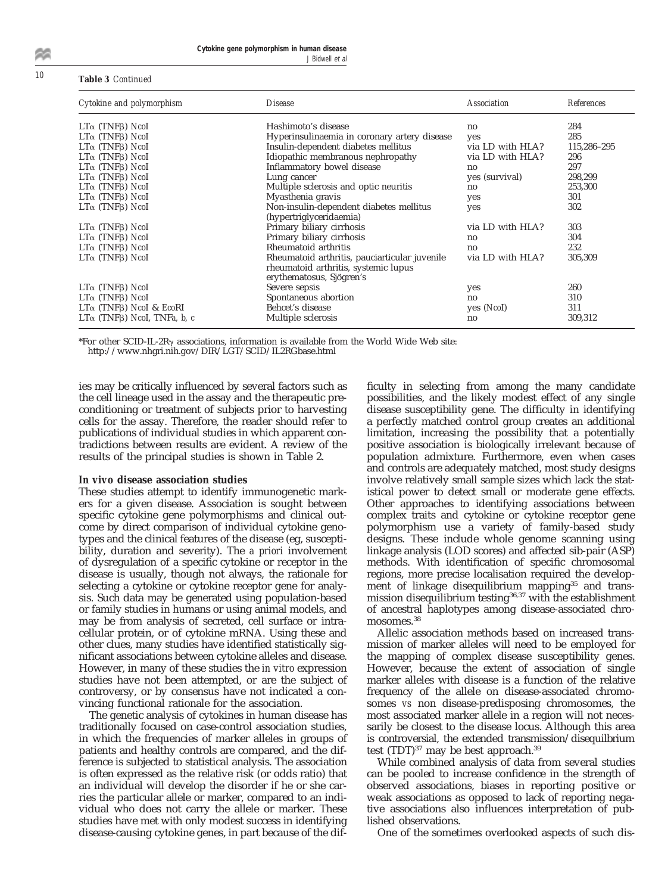### <sup>10</sup> **Table 3** *Continued*

| Cytokine and polymorphism                       | <i>Disease</i>                                                   | <b>Association</b> | <b>References</b> |
|-------------------------------------------------|------------------------------------------------------------------|--------------------|-------------------|
| $LT\alpha$ (TNF <sub>B</sub> ) NcoI             | Hashimoto's disease                                              | no                 | 284               |
| $LT\alpha$ (TNF <sub>B</sub> ) NcoI             | Hyperinsulinaemia in coronary artery disease                     | yes                | 285               |
| $LT\alpha$ (TNF <sub>B</sub> ) NcoI             | Insulin-dependent diabetes mellitus                              | via LD with HLA?   | 115,286-295       |
| $LT\alpha$ (TNF <sub>B</sub> ) NcoI             | Idiopathic membranous nephropathy                                | via LD with HLA?   | 296               |
| $LT\alpha$ (TNF <sub>B</sub> ) NcoI             | Inflammatory bowel disease                                       | no                 | 297               |
| $LT\alpha$ (TNF <sub>B</sub> ) NcoI             | Lung cancer                                                      | yes (survival)     | 298,299           |
| $LT\alpha$ (TNF <sub>B</sub> ) NcoI             | Multiple sclerosis and optic neuritis                            | no                 | 253,300           |
| $LT\alpha$ (TNF <sub>B</sub> ) NcoI             | Myasthenia gravis                                                | yes                | 301               |
| $LT\alpha$ (TNF <sub>B</sub> ) NcoI             | Non-insulin-dependent diabetes mellitus                          | yes                | 302               |
|                                                 | (hypertriglyceridaemia)                                          |                    |                   |
| $LT\alpha$ (TNF <sub>B</sub> ) <i>NcoI</i>      | Primary biliary cirrhosis                                        | via LD with HLA?   | 303               |
| $LT\alpha$ (TNF <sub>B</sub> ) NcoI             | Primary biliary cirrhosis                                        | no                 | 304               |
| $LT\alpha$ (TNF <sub>B</sub> ) NcoI             | Rheumatoid arthritis                                             | no                 | 232               |
| $LT\alpha$ (TNF <sub>B</sub> ) NcoI             | Rheumatoid arthritis, pauciarticular juvenile                    | via LD with HLA?   | 305,309           |
|                                                 | rheumatoid arthritis, systemic lupus<br>erythematosus, Sjögren's |                    |                   |
| $LT\alpha$ (TNF <sub>B</sub> ) NcoI             | Severe sepsis                                                    | yes                | 260               |
| $LT\alpha$ (TNF <sub>B</sub> ) NcoI             | Spontaneous abortion                                             | no                 | 310               |
| $LT\alpha$ (TNF <sub>B</sub> ) NcoI & EcoRI     | Behcet's disease                                                 | yes (Nool)         | 311               |
| $LT\alpha$ (TNF <sub>B</sub> ) Ncol, TNFa, b, c | Multiple sclerosis                                               | no                 | 309,312           |

\*For other SCID-IL-2R $\gamma$  associations, information is available from the World Wide Web site: http://www.nhgri.nih.gov/DIR/LGT/SCID/IL2RGbase.html

ies may be critically influenced by several factors such as the cell lineage used in the assay and the therapeutic preconditioning or treatment of subjects prior to harvesting cells for the assay. Therefore, the reader should refer to publications of individual studies in which apparent contradictions between results are evident. A review of the results of the principal studies is shown in Table 2.

#### *In vivo* **disease association studies**

These studies attempt to identify immunogenetic markers for a given disease. Association is sought between specific cytokine gene polymorphisms and clinical outcome by direct comparison of individual cytokine genotypes and the clinical features of the disease (eg, susceptibility, duration and severity). The *a priori* involvement of dysregulation of a specific cytokine or receptor in the disease is usually, though not always, the rationale for selecting a cytokine or cytokine receptor gene for analysis. Such data may be generated using population-based or family studies in humans or using animal models, and may be from analysis of secreted, cell surface or intracellular protein, or of cytokine mRNA. Using these and other clues, many studies have identified statistically significant associations between cytokine alleles and disease. However, in many of these studies the *in vitro* expression studies have not been attempted, or are the subject of controversy, or by consensus have not indicated a convincing functional rationale for the association.

The genetic analysis of cytokines in human disease has traditionally focused on case-control association studies, in which the frequencies of marker alleles in groups of patients and healthy controls are compared, and the difference is subjected to statistical analysis. The association is often expressed as the relative risk (or odds ratio) that an individual will develop the disorder if he or she carries the particular allele or marker, compared to an individual who does not carry the allele or marker. These studies have met with only modest success in identifying disease-causing cytokine genes, in part because of the difficulty in selecting from among the many candidate possibilities, and the likely modest effect of any single disease susceptibility gene. The difficulty in identifying a perfectly matched control group creates an additional limitation, increasing the possibility that a potentially positive association is biologically irrelevant because of population admixture. Furthermore, even when cases and controls are adequately matched, most study designs involve relatively small sample sizes which lack the statistical power to detect small or moderate gene effects. Other approaches to identifying associations between complex traits and cytokine or cytokine receptor gene polymorphism use a variety of family-based study designs. These include whole genome scanning using linkage analysis (LOD scores) and affected sib-pair (ASP) methods. With identification of specific chromosomal regions, more precise localisation required the development of linkage disequilibrium mapping<sup>35</sup> and transmission disequilibrium testing<sup>36,37</sup> with the establishment of ancestral haplotypes among disease-associated chromosomes.<sup>38</sup>

Allelic association methods based on increased transmission of marker alleles will need to be employed for the mapping of complex disease susceptibility genes. However, because the extent of association of single marker alleles with disease is a function of the relative frequency of the allele on disease-associated chromosomes *vs* non disease-predisposing chromosomes, the most associated marker allele in a region will not necessarily be closest to the disease locus. Although this area is controversial, the extended transmission/disequilbrium test (TDT)<sup>37</sup> may be best approach.<sup>39</sup>

While combined analysis of data from several studies can be pooled to increase confidence in the strength of observed associations, biases in reporting positive or weak associations as opposed to lack of reporting negative associations also influences interpretation of published observations.

One of the sometimes overlooked aspects of such dis-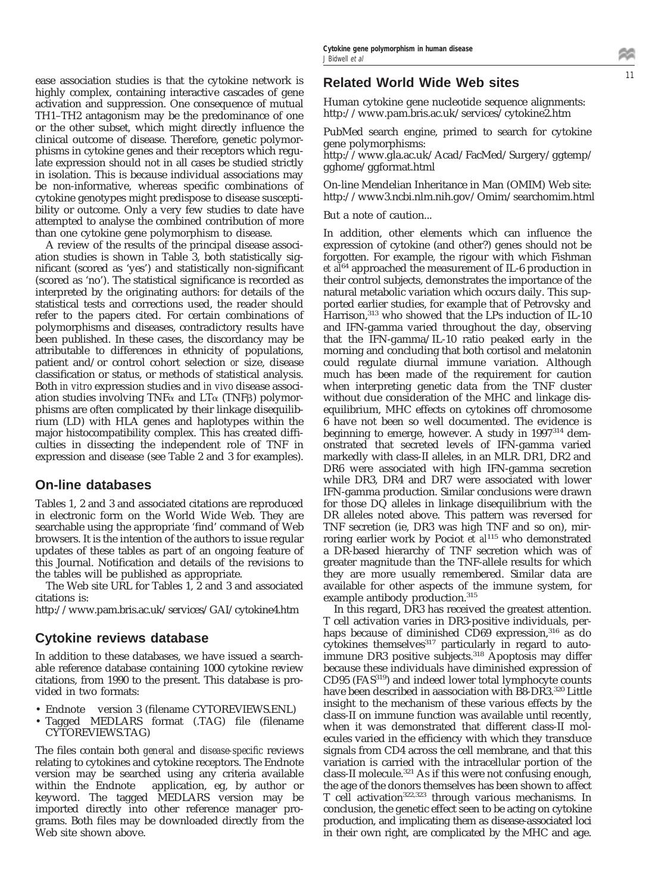ease association studies is that the cytokine network is highly complex, containing interactive cascades of gene activation and suppression. One consequence of mutual TH1–TH2 antagonism may be the predominance of one or the other subset, which might directly influence the clinical outcome of disease. Therefore, genetic polymorphisms in cytokine genes and their receptors which regulate expression should not in all cases be studied strictly in isolation. This is because individual associations may be non-informative, whereas specific combinations of cytokine genotypes might predispose to disease susceptibility or outcome. Only a very few studies to date have attempted to analyse the combined contribution of more than one cytokine gene polymorphism to disease.

A review of the results of the principal disease association studies is shown in Table 3, both statistically significant (scored as 'yes') and statistically non-significant (scored as 'no'). The statistical significance is recorded as interpreted by the originating authors: for details of the statistical tests and corrections used, the reader should refer to the papers cited. For certain combinations of polymorphisms and diseases, contradictory results have been published. In these cases, the discordancy may be attributable to differences in ethnicity of populations, patient and/or control cohort selection *or* size, disease classification or status, or methods of statistical analysis. Both *in vitro* expression studies and *in vivo* disease association studies involving  $TNF\alpha$  and  $LT\alpha$  (TNF $\beta$ ) polymorphisms are often complicated by their linkage disequilibrium (LD) with HLA genes and haplotypes within the major histocompatibility complex. This has created difficulties in dissecting the independent role of TNF in expression and disease (see Table 2 and 3 for examples).

## **On-line databases**

Tables 1, 2 and 3 and associated citations are reproduced in electronic form on the World Wide Web. They are searchable using the appropriate 'find' command of Web browsers. It is the intention of the authors to issue regular updates of these tables as part of an ongoing feature of this Journal. Notification and details of the revisions to the tables will be published as appropriate.

The Web site URL for Tables 1, 2 and 3 and associated citations is:

http://www.pam.bris.ac.uk/services/GAI/cytokine4.htm

## **Cytokine reviews database**

In addition to these databases, we have issued a searchable reference database containing 1000 cytokine review citations, from 1990 to the present. This database is provided in two formats:

- Endnote<sup>™</sup> version 3 (filename CYTOREVIEWS.ENL)
- Tagged MEDLARS format (.TAG) file (filename CYTOREVIEWS.TAG)

The files contain both *general* and *disease-specific* reviews relating to cytokines and cytokine receptors. The Endnote version may be searched using any criteria available within the Endnote<sup> $TM$ </sup> application, eg, by author or keyword. The tagged MEDLARS version may be imported directly into other reference manager programs. Both files may be downloaded directly from the Web site shown above.

## **Related World Wide Web sites**

Human cytokine gene nucleotide sequence alignments: http://www.pam.bris.ac.uk/services/cytokine2.htm

PubMed search engine, primed to search for cytokine gene polymorphisms:

http://www.gla.ac.uk/Acad/FacMed/Surgery/ggtemp/ gghome/ggformat.html

On-line Mendelian Inheritance in Man (OMIM) Web site: http://www3.ncbi.nlm.nih.gov/Omim/searchomim.html

But a note of caution...

In addition, other elements which can influence the expression of cytokine (and other?) genes should not be forgotten. For example, the rigour with which Fishman *et al*<sup>64</sup> approached the measurement of IL-6 production in their control subjects, demonstrates the importance of the natural metabolic variation which occurs daily. This supported earlier studies, for example that of Petrovsky and Harrison,<sup>313</sup> who showed that the LPs induction of IL-10 and IFN-gamma varied throughout the day, observing that the IFN-gamma/IL-10 ratio peaked early in the morning and concluding that both cortisol and melatonin could regulate diurnal immune variation. Although much has been made of the requirement for caution when interpreting genetic data from the TNF cluster without due consideration of the MHC and linkage disequilibrium, MHC effects on cytokines off chromosome 6 have not been so well documented. The evidence is beginning to emerge, however. A study in 1997<sup>314</sup> demonstrated that secreted levels of IFN-gamma varied markedly with class-II alleles, in an MLR. DR1, DR2 and DR6 were associated with high IFN-gamma secretion while DR3, DR4 and DR7 were associated with lower IFN-gamma production. Similar conclusions were drawn for those DQ alleles in linkage disequilibrium with the DR alleles noted above. This pattern was reversed for TNF secretion (ie, DR3 was high TNF and so on), mirroring earlier work by Pociot *et al*<sup>115</sup> who demonstrated a DR-based hierarchy of TNF secretion which was of greater magnitude than the TNF-allele results for which they are more usually remembered. Similar data are available for other aspects of the immune system, for example antibody production.<sup>315</sup>

In this regard, DR3 has received the greatest attention. T cell activation varies in DR3-positive individuals, perhaps because of diminished CD69 expression,<sup>316</sup> as do cytokines themselves<sup>317</sup> particularly in regard to autoimmune DR3 positive subjects.<sup>318</sup> Apoptosis may differ because these individuals have diminished expression of CD95 (FAS319) and indeed lower total lymphocyte counts have been described in aassociation with B8-DR3.320 Little insight to the mechanism of these various effects by the class-II on immune function was available until recently, when it was demonstrated that different class-II molecules varied in the efficiency with which they transduce signals from CD4 across the cell membrane, and that this variation is carried with the intracellular portion of the class-II molecule.<sup>321</sup> As if this were not confusing enough, the age of the donors themselves has been shown to affect T cell activation322,323 through various mechanisms. In conclusion, the genetic effect seen to be acting on cytokine production, and implicating them as disease-associated loci in their own right, are complicated by the MHC and age.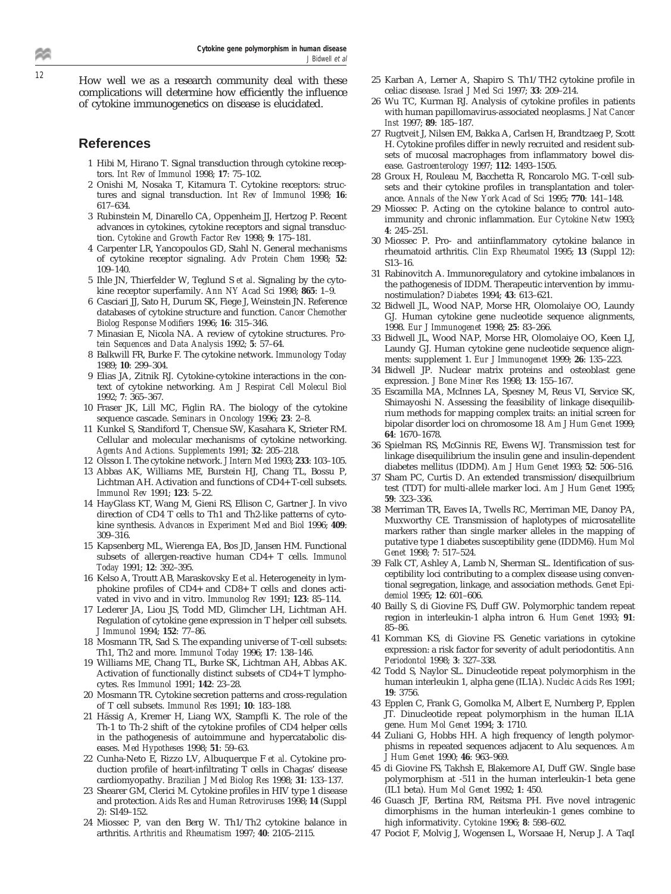<sup>12</sup> How well we as a research community deal with these complications will determine how efficiently the influence of cytokine immunogenetics on disease is elucidated.

#### **References**

- 1 Hibi M, Hirano T. Signal transduction through cytokine receptors. *Int Rev of Immunol* 1998; **17**: 75–102.
- 2 Onishi M, Nosaka T, Kitamura T. Cytokine receptors: structures and signal transduction. *Int Rev of Immunol* 1998; **16**: 617–634.
- 3 Rubinstein M, Dinarello CA, Oppenheim JJ, Hertzog P. Recent advances in cytokines, cytokine receptors and signal transduction. *Cytokine and Growth Factor Rev* 1998; **9**: 175–181.
- 4 Carpenter LR, Yancopoulos GD, Stahl N. General mechanisms of cytokine receptor signaling. *Adv Protein Chem* 1998; **52**: 109–140.
- 5 Ihle JN, Thierfelder W, Teglund S *et al*. Signaling by the cytokine receptor superfamily. *Ann NY Acad Sci* 1998; **865**: 1–9.
- 6 Casciari JJ, Sato H, Durum SK, Fiege J, Weinstein JN. Reference databases of cytokine structure and function. *Cancer Chemother Biolog Response Modifiers* 1996; **16**: 315–346.
- 7 Minasian E, Nicola NA. A review of cytokine structures. *Protein Sequences and Data Analysis* 1992; **5**: 57–64.
- 8 Balkwill FR, Burke F. The cytokine network. *Immunology Today* 1989; **10**: 299–304.
- 9 Elias JA, Zitnik RJ. Cytokine-cytokine interactions in the context of cytokine networking. *Am J Respirat Cell Molecul Biol* 1992; **7**: 365–367.
- 10 Fraser JK, Lill MC, Figlin RA. The biology of the cytokine sequence cascade. *Seminars in Oncology* 1996; **23**: 2–8.
- 11 Kunkel S, Standiford T, Chensue SW, Kasahara K, Strieter RM. Cellular and molecular mechanisms of cytokine networking. *Agents And Actions. Supplements* 1991; **32**: 205–218.
- 12 Olsson I. The cytokine network. *J Intern Med* 1993; **233**: 103–105.
- 13 Abbas AK, Williams ME, Burstein HJ, Chang TL, Bossu P, Lichtman AH. Activation and functions of CD4+ T-cell subsets. *Immunol Rev* 1991; **123**: 5–22.
- 14 HayGlass KT, Wang M, Gieni RS, Ellison C, Gartner J. In vivo direction of CD4 T cells to Th1 and Th2-like patterns of cytokine synthesis. *Advances in Experiment Med and Biol* 1996; **409**: 309–316.
- 15 Kapsenberg ML, Wierenga EA, Bos JD, Jansen HM. Functional subsets of allergen-reactive human CD4+ T cells. *Immunol Today* 1991; **12**: 392–395.
- 16 Kelso A, Troutt AB, Maraskovsky E *et al*. Heterogeneity in lymphokine profiles of CD4+ and CD8+ T cells and clones activated in vivo and in vitro. *Immunolog Rev* 1991; **123**: 85–114.
- 17 Lederer JA, Liou JS, Todd MD, Glimcher LH, Lichtman AH. Regulation of cytokine gene expression in T helper cell subsets. *J Immunol* 1994; **152**: 77–86.
- 18 Mosmann TR, Sad S. The expanding universe of T-cell subsets: Th1, Th2 and more. *Immunol Today* 1996; **17**: 138–146.
- 19 Williams ME, Chang TL, Burke SK, Lichtman AH, Abbas AK. Activation of functionally distinct subsets of CD4+ T lymphocytes. *Res Immunol* 1991; **142**: 23–28.
- 20 Mosmann TR. Cytokine secretion patterns and cross-regulation of T cell subsets. *Immunol Res* 1991; **10**: 183–188.
- 21 Hässig A, Kremer H, Liang WX, Stampfli K. The role of the Th-1 to Th-2 shift of the cytokine profiles of CD4 helper cells in the pathogenesis of autoimmune and hypercatabolic diseases. *Med Hypotheses* 1998; **51**: 59–63.
- 22 Cunha-Neto E, Rizzo LV, Albuquerque F *et al*. Cytokine production profile of heart-infiltrating T cells in Chagas' disease cardiomyopathy. *Brazilian J Med Biolog Res* 1998; **31**: 133–137.
- 23 Shearer GM, Clerici M. Cytokine profiles in HIV type 1 disease and protection. *Aids Res and Human Retroviruses* 1998; **14** (Suppl 2): S149–152.
- 24 Miossec P, van den Berg W. Th1/Th2 cytokine balance in arthritis. *Arthritis and Rheumatism* 1997; **40**: 2105–2115.
- 25 Karban A, Lerner A, Shapiro S. Th1/TH2 cytokine profile in celiac disease. *Israel J Med Sci* 1997; **33**: 209–214.
- 26 Wu TC, Kurman RJ. Analysis of cytokine profiles in patients with human papillomavirus-associated neoplasms. *J Nat Cancer Inst* 1997; **89**: 185–187.
- 27 Rugtveit J, Nilsen EM, Bakka A, Carlsen H, Brandtzaeg P, Scott H. Cytokine profiles differ in newly recruited and resident subsets of mucosal macrophages from inflammatory bowel disease. *Gastroenterology* 1997; **112**: 1493–1505.
- 28 Groux H, Rouleau M, Bacchetta R, Roncarolo MG. T-cell subsets and their cytokine profiles in transplantation and tolerance. *Annals of the New York Acad of Sci* 1995; **770**: 141–148.
- 29 Miossec P. Acting on the cytokine balance to control autoimmunity and chronic inflammation. *Eur Cytokine Netw* 1993; **4**: 245–251.
- 30 Miossec P. Pro- and antiinflammatory cytokine balance in rheumatoid arthritis. *Clin Exp Rheumatol* 1995; **13** (Suppl 12): S13–16.
- 31 Rabinovitch A. Immunoregulatory and cytokine imbalances in the pathogenesis of IDDM. Therapeutic intervention by immunostimulation? *Diabetes* 1994; **43**: 613–621.
- 32 Bidwell JL, Wood NAP, Morse HR, Olomolaiye OO, Laundy GJ. Human cytokine gene nucleotide sequence alignments, 1998. *Eur J Immunogenet* 1998; **25**: 83–266.
- 33 Bidwell JL, Wood NAP, Morse HR, Olomolaiye OO, Keen LJ, Laundy GJ. Human cytokine gene nucleotide sequence alignments: supplement 1. *Eur J Immunogenet* 1999; **26**: 135–223.
- 34 Bidwell JP. Nuclear matrix proteins and osteoblast gene expression. *J Bone Miner Res* 1998; **13**: 155–167.
- 35 Escamilla MA, McInnes LA, Spesney M, Reus VI, Service SK, Shimayoshi N. Assessing the feasibility of linkage disequilibrium methods for mapping complex traits: an initial screen for bipolar disorder loci on chromosome 18. *Am J Hum Genet* 1999; **64**: 1670–1678.
- 36 Spielman RS, McGinnis RE, Ewens WJ. Transmission test for linkage disequilibrium the insulin gene and insulin-dependent diabetes mellitus (IDDM). *Am J Hum Genet* 1993; **52**: 506–516.
- 37 Sham PC, Curtis D. An extended transmission/disequilbrium test (TDT) for multi-allele marker loci. *Am J Hum Genet* 1995; **59**: 323–336.
- 38 Merriman TR, Eaves IA, Twells RC, Merriman ME, Danoy PA, Muxworthy CE. Transmission of haplotypes of microsatellite markers rather than single marker alleles in the mapping of putative type 1 diabetes susceptibility gene (IDDM6). *Hum Mol Genet* 1998; **7**: 517–524.
- 39 Falk CT, Ashley A, Lamb N, Sherman SL. Identification of susceptibility loci contributing to a complex disease using conventional segregation, linkage, and association methods. *Genet Epidemiol* 1995; **12**: 601–606.
- 40 Bailly S, di Giovine FS, Duff GW. Polymorphic tandem repeat region in interleukin-1 alpha intron 6. *Hum Genet* 1993; **91**: 85–86.
- 41 Kornman KS, di Giovine FS. Genetic variations in cytokine expression: a risk factor for severity of adult periodontitis. *Ann Periodontol* 1998; **3**: 327–338.
- 42 Todd S, Naylor SL. Dinucleotide repeat polymorphism in the human interleukin 1, alpha gene (IL1A). *Nucleic Acids Res* 1991; **19**: 3756.
- 43 Epplen C, Frank G, Gomolka M, Albert E, Nurnberg P, Epplen JT. Dinucleotide repeat polymorphism in the human IL1A gene. *Hum Mol Genet* 1994; **3**: 1710.
- 44 Zuliani G, Hobbs HH. A high frequency of length polymorphisms in repeated sequences adjacent to Alu sequences. *Am J Hum Genet* 1990; **46**: 963–969.
- 45 di Giovine FS, Takhsh E, Blakemore AI, Duff GW. Single base polymorphism at -511 in the human interleukin-1 beta gene (IL1 beta). *Hum Mol Genet* 1992; **1**: 450.
- 46 Guasch JF, Bertina RM, Reitsma PH. Five novel intragenic dimorphisms in the human interleukin-1 genes combine to high informativity. *Cytokine* 1996; **8**: 598–602.
- 47 Pociot F, Molvig J, Wogensen L, Worsaae H, Nerup J. A TaqI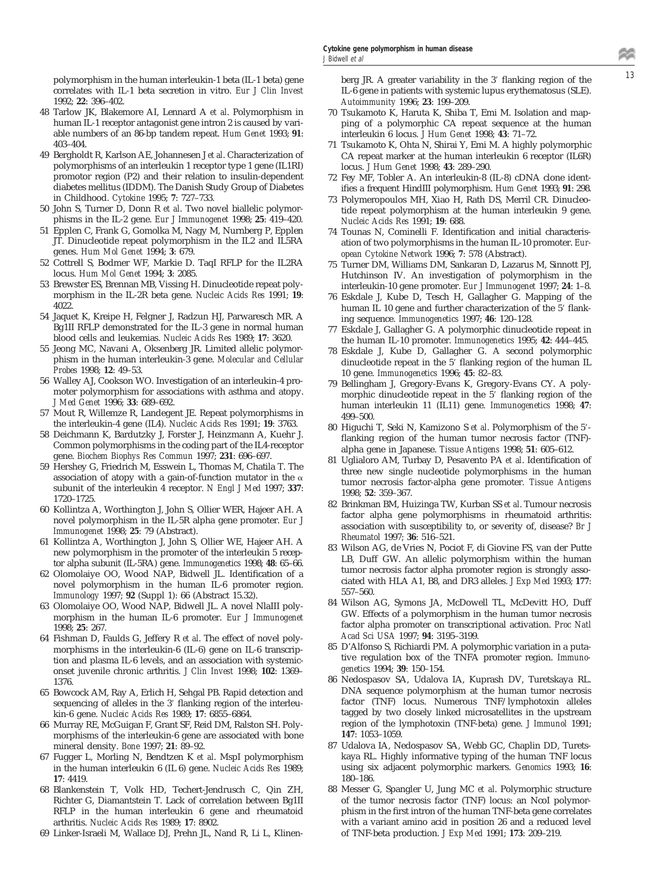correlates with IL-1 beta secretion in vitro. *Eur J Clin Invest* 1992; **22**: 396–402.

- 48 Tarlow JK, Blakemore AI, Lennard A *et al*. Polymorphism in human IL-1 receptor antagonist gene intron 2 is caused by variable numbers of an 86-bp tandem repeat. *Hum Genet* 1993; **91**: 403–404.
- 49 Bergholdt R, Karlson AE, Johannesen J *et al*. Characterization of polymorphisms of an interleukin 1 receptor type 1 gene (IL1RI) promotor region (P2) and their relation to insulin-dependent diabetes mellitus (IDDM). The Danish Study Group of Diabetes in Childhood. *Cytokine* 1995; **7**: 727–733.
- 50 John S, Turner D, Donn R *et al*. Two novel biallelic polymorphisms in the IL-2 gene. *Eur J Immunogenet* 1998; **25**: 419–420.
- 51 Epplen C, Frank G, Gomolka M, Nagy M, Nurnberg P, Epplen JT. Dinucleotide repeat polymorphism in the IL2 and IL5RA genes. *Hum Mol Genet* 1994; **3**: 679.
- 52 Cottrell S, Bodmer WF, Markie D. TaqI RFLP for the IL2RA locus. *Hum Mol Genet* 1994; **3**: 2085.
- 53 Brewster ES, Brennan MB, Vissing H. Dinucleotide repeat polymorphism in the IL-2R beta gene. *Nucleic Acids Res* 1991; **19**: 4022.
- 54 Jaquet K, Kreipe H, Felgner J, Radzun HJ, Parwaresch MR. A Bg1II RFLP demonstrated for the IL-3 gene in normal human blood cells and leukemias. *Nucleic Acids Res* 1989; **17**: 3620.
- 55 Jeong MC, Navani A, Oksenberg JR. Limited allelic polymorphism in the human interleukin-3 gene. *Molecular and Cellular Probes* 1998; **12**: 49–53.
- 56 Walley AJ, Cookson WO. Investigation of an interleukin-4 promoter polymorphism for associations with asthma and atopy. *J Med Genet* 1996; **33**: 689–692.
- 57 Mout R, Willemze R, Landegent JE. Repeat polymorphisms in the interleukin-4 gene (IL4). *Nucleic Acids Res* 1991; **19**: 3763.
- 58 Deichmann K, Bardutzky J, Forster J, Heinzmann A, Kuehr J. Common polymorphisms in the coding part of the IL4-receptor gene. *Biochem Biophys Res Commun* 1997; **231**: 696–697.
- 59 Hershey G, Friedrich M, Esswein L, Thomas M, Chatila T. The association of atopy with a gain-of-function mutator in the  $\alpha$ subunit of the interleukin 4 receptor. *N Engl J Med* 1997; **337**: 1720–1725.
- 60 Kollintza A, Worthington J, John S, Ollier WER, Hajeer AH. A novel polymorphism in the IL-5R alpha gene promoter. *Eur J Immunogenet* 1998; **25**: 79 (Abstract).
- 61 Kollintza A, Worthington J, John S, Ollier WE, Hajeer AH. A new polymorphism in the promoter of the interleukin 5 receptor alpha subunit (IL-5RA) gene. *Immunogenetics* 1998; **48**: 65–66.
- 62 Olomolaiye OO, Wood NAP, Bidwell JL. Identification of a novel polymorphism in the human IL-6 promoter region. *Immunology* 1997; **92** (Suppl 1): 66 (Abstract 15.32).
- 63 Olomolaiye OO, Wood NAP, Bidwell JL. A novel NlaIII polymorphism in the human IL-6 promoter. *Eur J Immunogenet* 1998; **25**: 267.
- 64 Fishman D, Faulds G, Jeffery R *et al*. The effect of novel polymorphisms in the interleukin-6 (IL-6) gene on IL-6 transcription and plasma IL-6 levels, and an association with systemiconset juvenile chronic arthritis. *J Clin Invest* 1998; **102**: 1369– 1376.
- 65 Bowcock AM, Ray A, Erlich H, Sehgal PB. Rapid detection and sequencing of alleles in the 3' flanking region of the interleukin-6 gene. *Nucleic Acids Res* 1989; **17**: 6855–6864.
- 66 Murray RE, McGuigan F, Grant SF, Reid DM, Ralston SH. Polymorphisms of the interleukin-6 gene are associated with bone mineral density. *Bone* 1997; **21**: 89–92.
- 67 Fugger L, Morling N, Bendtzen K *et al*. MspI polymorphism in the human interleukin 6 (IL 6) gene. *Nucleic Acids Res* 1989; **17**: 4419.
- 68 Blankenstein T, Volk HD, Techert-Jendrusch C, Qin ZH, Richter G, Diamantstein T. Lack of correlation between Bg1II RFLP in the human interleukin 6 gene and rheumatoid arthritis. *Nucleic Acids Res* 1989; **17**: 8902.
- 69 Linker-Israeli M, Wallace DJ, Prehn JL, Nand R, Li L, Klinen-

<sup>13</sup> polymorphism in the human interleukin-1 beta (IL-1 beta) gene berg JR. A greater variability in the 39 flanking region of the IL-6 gene in patients with systemic lupus erythematosus (SLE). *Autoimmunity* 1996; **23**: 199–209.

- 70 Tsukamoto K, Haruta K, Shiba T, Emi M. Isolation and mapping of a polymorphic CA repeat sequence at the human interleukin 6 locus. *J Hum Genet* 1998; **43**: 71–72.
- 71 Tsukamoto K, Ohta N, Shirai Y, Emi M. A highly polymorphic CA repeat marker at the human interleukin 6 receptor (IL6R) locus. *J Hum Genet* 1998; **43**: 289–290.
- 72 Fey MF, Tobler A. An interleukin-8 (IL-8) cDNA clone identifies a frequent HindIII polymorphism. *Hum Genet* 1993; **91**: 298.
- 73 Polymeropoulos MH, Xiao H, Rath DS, Merril CR. Dinucleotide repeat polymorphism at the human interleukin 9 gene. *Nucleic Acids Res* 1991; **19**: 688.
- 74 Tounas N, Cominelli F. Identification and initial characterisation of two polymorphisms in the human IL-10 promoter. *European Cytokine Network* 1996; **7**: 578 (Abstract).
- 75 Turner DM, Williams DM, Sankaran D, Lazarus M, Sinnott PJ, Hutchinson IV. An investigation of polymorphism in the interleukin-10 gene promoter. *Eur J Immunogenet* 1997; **24**: 1–8.
- 76 Eskdale J, Kube D, Tesch H, Gallagher G. Mapping of the human IL 10 gene and further characterization of the 5' flanking sequence. *Immunogenetics* 1997; **46**: 120–128.
- 77 Eskdale J, Gallagher G. A polymorphic dinucleotide repeat in the human IL-10 promoter. *Immunogenetics* 1995; **42**: 444–445.
- 78 Eskdale J, Kube D, Gallagher G. A second polymorphic dinucleotide repeat in the 5' flanking region of the human IL 10 gene. *Immunogenetics* 1996; **45**: 82–83.
- 79 Bellingham J, Gregory-Evans K, Gregory-Evans CY. A polymorphic dinucleotide repeat in the 5' flanking region of the human interleukin 11 (IL11) gene. *Immunogenetics* 1998; **47**: 499–500.
- 80 Higuchi T, Seki N, Kamizono S et al. Polymorphism of the 5'flanking region of the human tumor necrosis factor (TNF) alpha gene in Japanese. *Tissue Antigens* 1998; **51**: 605–612.
- 81 Uglialoro AM, Turbay D, Pesavento PA *et al*. Identification of three new single nucleotide polymorphisms in the human tumor necrosis factor-alpha gene promoter. *Tissue Antigens* 1998; **52**: 359–367.
- 82 Brinkman BM, Huizinga TW, Kurban SS *et al*. Tumour necrosis factor alpha gene polymorphisms in rheumatoid arthritis: association with susceptibility to, or severity of, disease? *Br J Rheumatol* 1997; **36**: 516–521.
- 83 Wilson AG, de Vries N, Pociot F, di Giovine FS, van der Putte LB, Duff GW. An allelic polymorphism within the human tumor necrosis factor alpha promoter region is strongly associated with HLA A1, B8, and DR3 alleles. *J Exp Med* 1993; **177**: 557–560.
- 84 Wilson AG, Symons JA, McDowell TL, McDevitt HO, Duff GW. Effects of a polymorphism in the human tumor necrosis factor alpha promoter on transcriptional activation. *Proc Natl Acad Sci USA* 1997; **94**: 3195–3199.
- 85 D'Alfonso S, Richiardi PM. A polymorphic variation in a putative regulation box of the TNFA promoter region. *Immunogenetics* 1994; **39**: 150–154.
- 86 Nedospasov SA, Udalova IA, Kuprash DV, Turetskaya RL. DNA sequence polymorphism at the human tumor necrosis factor (TNF) locus. Numerous TNF/lymphotoxin alleles tagged by two closely linked microsatellites in the upstream region of the lymphotoxin (TNF-beta) gene. *J Immunol* 1991; **147**: 1053–1059.
- 87 Udalova IA, Nedospasov SA, Webb GC, Chaplin DD, Turetskaya RL. Highly informative typing of the human TNF locus using six adjacent polymorphic markers. *Genomics* 1993; **16**: 180–186.
- 88 Messer G, Spangler U, Jung MC *et al*. Polymorphic structure of the tumor necrosis factor (TNF) locus: an NcoI polymorphism in the first intron of the human TNF-beta gene correlates with a variant amino acid in position 26 and a reduced level of TNF-beta production. *J Exp Med* 1991; **173**: 209–219.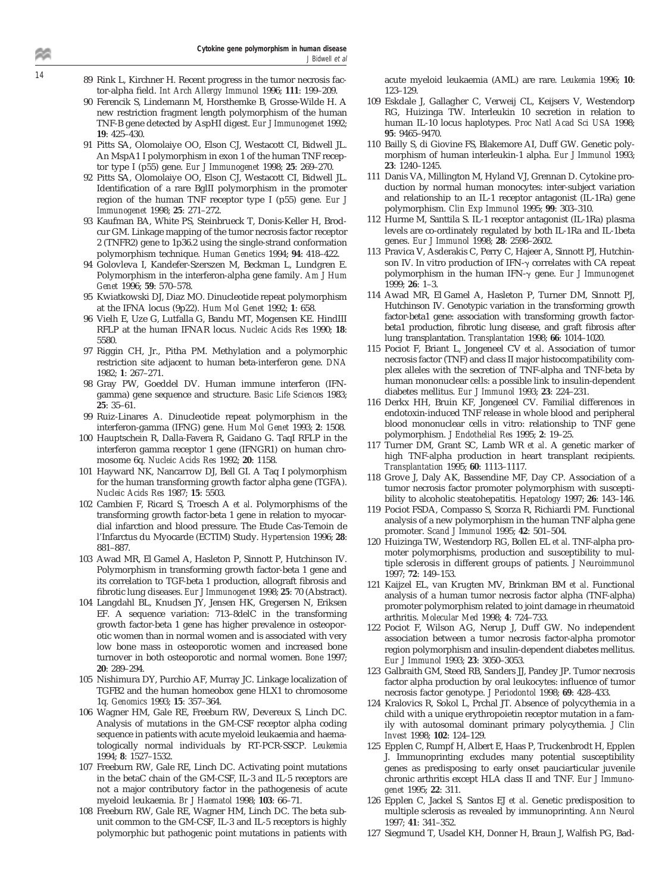- **Cytokine gene polymorphism in human disease** J Bidwell et al
- <sup>14</sup> 89 Rink L, Kirchner H. Recent progress in the tumor necrosis factor-alpha field. *Int Arch Allergy Immunol* 1996; **111**: 199–209.
	- 90 Ferencik S, Lindemann M, Horsthemke B, Grosse-Wilde H. A new restriction fragment length polymorphism of the human TNF-B gene detected by AspHI digest. *Eur J Immunogenet* 1992; **19**: 425–430.
	- 91 Pitts SA, Olomolaiye OO, Elson CJ, Westacott CI, Bidwell JL. An MspA1 I polymorphism in exon 1 of the human TNF receptor type I (p55) gene. *Eur J Immunogenet* 1998; **25**: 269–270.
	- 92 Pitts SA, Olomolaiye OO, Elson CJ, Westacott CI, Bidwell JL. Identification of a rare BglII polymorphism in the promoter region of the human TNF receptor type I (p55) gene. *Eur J Immunogenet* 1998; **25**: 271–272.
	- 93 Kaufman BA, White PS, Steinbrueck T, Donis-Keller H, Brodcur GM. Linkage mapping of the tumor necrosis factor receptor 2 (TNFR2) gene to 1p36.2 using the single-strand conformation polymorphism technique. *Human Genetics* 1994; **94**: 418–422.
	- 94 Golovleva I, Kandefer-Szerszen M, Beckman L, Lundgren E. Polymorphism in the interferon-alpha gene family. *Am J Hum Genet* 1996; **59**: 570–578.
	- 95 Kwiatkowski DJ, Diaz MO. Dinucleotide repeat polymorphism at the IFNA locus (9p22). *Hum Mol Genet* 1992; **1**: 658.
	- 96 Vielh E, Uze G, Lutfalla G, Bandu MT, Mogensen KE. HindIII RFLP at the human IFNAR locus. *Nucleic Acids Res* 1990; **18**: 5580.
	- 97 Riggin CH, Jr., Pitha PM. Methylation and a polymorphic restriction site adjacent to human beta-interferon gene. *DNA* 1982; **1**: 267–271.
	- 98 Gray PW, Goeddel DV. Human immune interferon (IFNgamma) gene sequence and structure. *Basic Life Sciences* 1983; **25**: 35–61.
	- 99 Ruiz-Linares A. Dinucleotide repeat polymorphism in the interferon-gamma (IFNG) gene. *Hum Mol Genet* 1993; **2**: 1508.
	- 100 Hauptschein R, Dalla-Favera R, Gaidano G. TaqI RFLP in the interferon gamma receptor 1 gene (IFNGR1) on human chromosome 6q. *Nucleic Acids Res* 1992; **20**: 1158.
	- 101 Hayward NK, Nancarrow DJ, Bell GI. A Taq I polymorphism for the human transforming growth factor alpha gene (TGFA). *Nucleic Acids Res* 1987; **15**: 5503.
	- 102 Cambien F, Ricard S, Troesch A *et al*. Polymorphisms of the transforming growth factor-beta 1 gene in relation to myocardial infarction and blood pressure. The Etude Cas-Temoin de l'Infarctus du Myocarde (ECTIM) Study. *Hypertension* 1996; **28**: 881–887.
	- 103 Awad MR, El Gamel A, Hasleton P, Sinnott P, Hutchinson IV. Polymorphism in transforming growth factor-beta 1 gene and its correlation to TGF-beta 1 production, allograft fibrosis and fibrotic lung diseases. *Eur J Immunogenet* 1998; **25**: 70 (Abstract).
	- 104 Langdahl BL, Knudsen JY, Jensen HK, Gregersen N, Eriksen EF. A sequence variation: 713–8delC in the transforming growth factor-beta 1 gene has higher prevalence in osteoporotic women than in normal women and is associated with very low bone mass in osteoporotic women and increased bone turnover in both osteoporotic and normal women. *Bone* 1997; **20**: 289–294.
	- 105 Nishimura DY, Purchio AF, Murray JC. Linkage localization of TGFB2 and the human homeobox gene HLX1 to chromosome 1q. *Genomics* 1993; **15**: 357–364.
	- 106 Wagner HM, Gale RE, Freeburn RW, Devereux S, Linch DC. Analysis of mutations in the GM-CSF receptor alpha coding sequence in patients with acute myeloid leukaemia and haematologically normal individuals by RT-PCR-SSCP. *Leukemia* 1994; **8**: 1527–1532.
	- 107 Freeburn RW, Gale RE, Linch DC. Activating point mutations in the betaC chain of the GM-CSF, IL-3 and IL-5 receptors are not a major contributory factor in the pathogenesis of acute myeloid leukaemia. *Br J Haematol* 1998; **103**: 66–71.
	- 108 Freeburn RW, Gale RE, Wagner HM, Linch DC. The beta subunit common to the GM-CSF, IL-3 and IL-5 receptors is highly polymorphic but pathogenic point mutations in patients with

acute myeloid leukaemia (AML) are rare. *Leukemia* 1996; **10**: 123–129.

- 109 Eskdale J, Gallagher C, Verweij CL, Keijsers V, Westendorp RG, Huizinga TW. Interleukin 10 secretion in relation to human IL-10 locus haplotypes. *Proc Natl Acad Sci USA* 1998; **95**: 9465–9470.
- 110 Bailly S, di Giovine FS, Blakemore AI, Duff GW. Genetic polymorphism of human interleukin-1 alpha. *Eur J Immunol* 1993; **23**: 1240–1245.
- 111 Danis VA, Millington M, Hyland VJ, Grennan D. Cytokine production by normal human monocytes: inter-subject variation and relationship to an IL-1 receptor antagonist (IL-1Ra) gene polymorphism. *Clin Exp Immunol* 1995; **99**: 303–310.
- 112 Hurme M, Santtila S. IL-1 receptor antagonist (IL-1Ra) plasma levels are co-ordinately regulated by both IL-1Ra and IL-1beta genes. *Eur J Immunol* 1998; **28**: 2598–2602.
- 113 Pravica V, Asderakis C, Perry C, Hajeer A, Sinnott PJ, Hutchinson IV. In vitro production of IFN- $\gamma$  correlates with CA repeat polymorphism in the human IFN-g gene. *Eur J Immunogenet* 1999; **26**: 1–3.
- 114 Awad MR, El Gamel A, Hasleton P, Turner DM, Sinnott PJ, Hutchinson IV. Genotypic variation in the transforming growth factor-beta1 gene: association with transforming growth factorbeta1 production, fibrotic lung disease, and graft fibrosis after lung transplantation. *Transplantation* 1998; **66**: 1014–1020.
- 115 Pociot F, Briant L, Jongeneel CV *et al*. Association of tumor necrosis factor (TNF) and class II major histocompatibility complex alleles with the secretion of TNF-alpha and TNF-beta by human mononuclear cells: a possible link to insulin-dependent diabetes mellitus. *Eur J Immunol* 1993; **23**: 224–231.
- 116 Derkx HH, Bruin KF, Jongeneel CV. Familial differences in endotoxin-induced TNF release in whole blood and peripheral blood mononuclear cells in vitro: relationship to TNF gene polymorphism. *J Endothelial Res* 1995; **2**: 19–25.
- 117 Turner DM, Grant SC, Lamb WR *et al*. A genetic marker of high TNF-alpha production in heart transplant recipients. *Transplantation* 1995; **60**: 1113–1117.
- 118 Grove J, Daly AK, Bassendine MF, Day CP. Association of a tumor necrosis factor promoter polymorphism with susceptibility to alcoholic steatohepatitis. *Hepatology* 1997; **26**: 143–146.
- 119 Pociot FSDA, Compasso S, Scorza R, Richiardi PM. Functional analysis of a new polymorphism in the human TNF alpha gene promoter. *Scand J Immunol* 1995; **42**: 501–504.
- 120 Huizinga TW, Westendorp RG, Bollen EL *et al*. TNF-alpha promoter polymorphisms, production and susceptibility to multiple sclerosis in different groups of patients. *J Neuroimmunol* 1997; **72**: 149–153.
- 121 Kaijzel EL, van Krugten MV, Brinkman BM *et al*. Functional analysis of a human tumor necrosis factor alpha (TNF-alpha) promoter polymorphism related to joint damage in rheumatoid arthritis. *Molecular Med* 1998; **4**: 724–733.
- 122 Pociot F, Wilson AG, Nerup J, Duff GW. No independent association between a tumor necrosis factor-alpha promotor region polymorphism and insulin-dependent diabetes mellitus. *Eur J Immunol* 1993; **23**: 3050–3053.
- 123 Galbraith GM, Steed RB, Sanders JJ, Pandey JP. Tumor necrosis factor alpha production by oral leukocytes: influence of tumor necrosis factor genotype. *J Periodontol* 1998; **69**: 428–433.
- 124 Kralovics R, Sokol L, Prchal JT. Absence of polycythemia in a child with a unique erythropoietin receptor mutation in a family with autosomal dominant primary polycythemia. *J Clin Invest* 1998; **102**: 124–129.
- 125 Epplen C, Rumpf H, Albert E, Haas P, Truckenbrodt H, Epplen J. Immunoprinting excludes many potential susceptibility genes as predisposing to early onset pauciarticular juvenile chronic arthritis except HLA class II and TNF. *Eur J Immunogenet* 1995; **22**: 311.
- 126 Epplen C, Jackel S, Santos EJ *et al*. Genetic predisposition to multiple sclerosis as revealed by immunoprinting. *Ann Neurol* 1997; **41**: 341–352.
- 127 Siegmund T, Usadel KH, Donner H, Braun J, Walfish PG, Bad-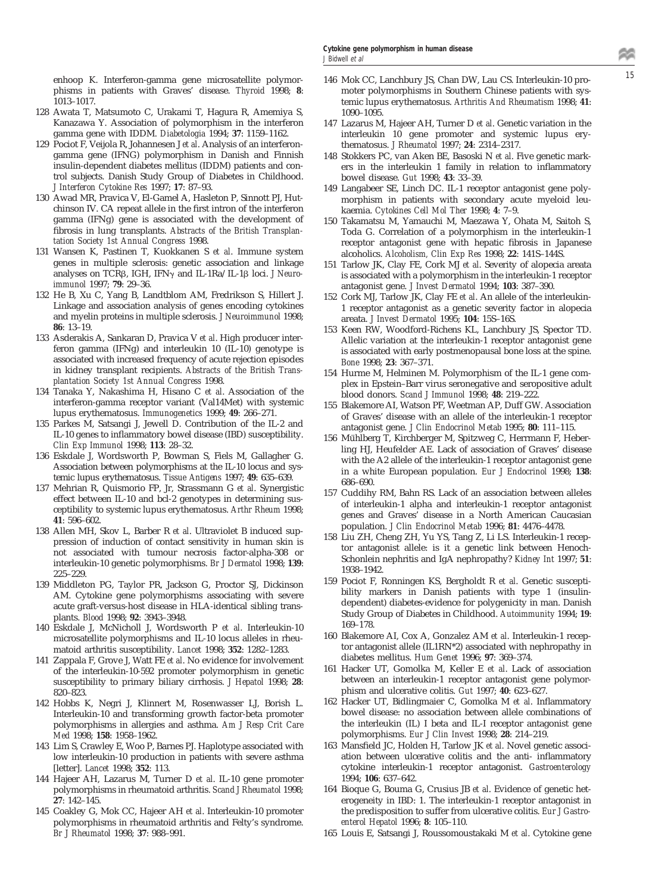phisms in patients with Graves' disease. *Thyroid* 1998; **8**: 1013–1017.

- 128 Awata T, Matsumoto C, Urakami T, Hagura R, Amemiya S, Kanazawa Y. Association of polymorphism in the interferon gamma gene with IDDM. *Diabetologia* 1994; **37**: 1159–1162.
- 129 Pociot F, Veijola R, Johannesen J *et al*. Analysis of an interferongamma gene (IFNG) polymorphism in Danish and Finnish insulin-dependent diabetes mellitus (IDDM) patients and control subjects. Danish Study Group of Diabetes in Childhood. *J Interferon Cytokine Res* 1997; **17**: 87–93.
- 130 Awad MR, Pravica V, El-Gamel A, Hasleton P, Sinnott PJ, Hutchinson IV. CA repeat allele in the first intron of the interferon gamma (IFNg) gene is associated with the development of fibrosis in lung transplants. *Abstracts of the British Transplantation Society 1st Annual Congress* 1998.
- 131 Wansen K, Pastinen T, Kuokkanen S *et al*. Immune system genes in multiple sclerosis: genetic association and linkage analyses on TCR<sub>B</sub>, IGH, IFN<sub>y</sub> and IL-1Ra/IL-1<sub>B</sub> loci. *J Neuroimmunol* 1997; **79**: 29–36.
- 132 He B, Xu C, Yang B, Landtblom AM, Fredrikson S, Hillert J. Linkage and association analysis of genes encoding cytokines and myelin proteins in multiple sclerosis. *J Neuroimmunol* 1998; **86**: 13–19.
- 133 Asderakis A, Sankaran D, Pravica V *et al*. High producer interferon gamma (IFNg) and interleukin 10 (IL-10) genotype is associated with increased frequency of acute rejection episodes in kidney transplant recipients. *Abstracts of the British Transplantation Society 1st Annual Congress* 1998.
- 134 Tanaka Y, Nakashima H, Hisano C *et al*. Association of the interferon-gamma receptor variant (Val14Met) with systemic lupus erythematosus. *Immunogenetics* 1999; **49**: 266–271.
- 135 Parkes M, Satsangi J, Jewell D. Contribution of the IL-2 and IL-10 genes to inflammatory bowel disease (IBD) susceptibility. *Clin Exp Immunol* 1998; **113**: 28–32.
- 136 Eskdale J, Wordsworth P, Bowman S, Fiels M, Gallagher G. Association between polymorphisms at the IL-10 locus and systemic lupus erythematosus. *Tissue Antigens* 1997; **49**: 635–639.
- 137 Mehrian R, Quismorio FP, Jr, Strassmann G *et al*. Synergistic effect between IL-10 and bcl-2 genotypes in determining susceptibility to systemic lupus erythematosus. *Arthr Rheum* 1998; **41**: 596–602.
- 138 Allen MH, Skov L, Barber R *et al*. Ultraviolet B induced suppression of induction of contact sensitivity in human skin is not associated with tumour necrosis factor-alpha-308 or interleukin-10 genetic polymorphisms. *Br J Dermatol* 1998; **139**: 225–229.
- 139 Middleton PG, Taylor PR, Jackson G, Proctor SJ, Dickinson AM. Cytokine gene polymorphisms associating with severe acute graft-versus-host disease in HLA-identical sibling transplants. *Blood* 1998; **92**: 3943–3948.
- 140 Eskdale J, McNicholl J, Wordsworth P *et al*. Interleukin-10 microsatellite polymorphisms and IL-10 locus alleles in rheumatoid arthritis susceptibility. *Lancet* 1998; **352**: 1282–1283.
- 141 Zappala F, Grove J, Watt FE *et al*. No evidence for involvement of the interleukin-10-592 promoter polymorphism in genetic susceptibility to primary biliary cirrhosis. *J Hepatol* 1998; **28**: 820–823.
- 142 Hobbs K, Negri J, Klinnert M, Rosenwasser LJ, Borish L. Interleukin-10 and transforming growth factor-beta promoter polymorphisms in allergies and asthma. *Am J Resp Crit Care Med* 1998; **158**: 1958–1962.
- 143 Lim S, Crawley E, Woo P, Barnes PJ. Haplotype associated with low interleukin-10 production in patients with severe asthma [letter]. *Lancet* 1998; **352**: 113.
- 144 Hajeer AH, Lazarus M, Turner D *et al*. IL-10 gene promoter polymorphisms in rheumatoid arthritis. *Scand J Rheumatol* 1998; **27**: 142–145.
- 145 Coakley G, Mok CC, Hajeer AH *et al*. Interleukin-10 promoter polymorphisms in rheumatoid arthritis and Felty's syndrome. *Br J Rheumatol* 1998; **37**: 988–991.
- <sup>15</sup> enhoop K. Interferon-gamma gene microsatellite polymor-146 Mok CC, Lanchbury JS, Chan DW, Lau CS. Interleukin-10 promoter polymorphisms in Southern Chinese patients with systemic lupus erythematosus. *Arthritis And Rheumatism* 1998; **41**: 1090–1095.
	- 147 Lazarus M, Hajeer AH, Turner D *et al*. Genetic variation in the interleukin 10 gene promoter and systemic lupus erythematosus. *J Rheumatol* 1997; **24**: 2314–2317.
	- 148 Stokkers PC, van Aken BE, Basoski N *et al*. Five genetic markers in the interleukin 1 family in relation to inflammatory bowel disease. *Gut* 1998; **43**: 33–39.
	- 149 Langabeer SE, Linch DC. IL-1 receptor antagonist gene polymorphism in patients with secondary acute myeloid leukaemia. *Cytokines Cell Mol Ther* 1998; **4**: 7–9.
	- 150 Takamatsu M, Yamauchi M, Maezawa Y, Ohata M, Saitoh S, Toda G. Correlation of a polymorphism in the interleukin-1 receptor antagonist gene with hepatic fibrosis in Japanese alcoholics. *Alcoholism, Clin Exp Res* 1998; **22**: 141S–144S.
	- 151 Tarlow JK, Clay FE, Cork MJ *et al*. Severity of alopecia areata is associated with a polymorphism in the interleukin-1 receptor antagonist gene. *J Invest Dermatol* 1994; **103**: 387–390.
	- 152 Cork MJ, Tarlow JK, Clay FE *et al*. An allele of the interleukin-1 receptor antagonist as a genetic severity factor in alopecia areata. *J Invest Dermatol* 1995; **104**: 15S–16S.
	- 153 Keen RW, Woodford-Richens KL, Lanchbury JS, Spector TD. Allelic variation at the interleukin-1 receptor antagonist gene is associated with early postmenopausal bone loss at the spine. *Bone* 1998; **23**: 367–371.
	- 154 Hurme M, Helminen M. Polymorphism of the IL-1 gene complex in Epstein–Barr virus seronegative and seropositive adult blood donors. *Scand J Immunol* 1998; **48**: 219–222.
	- 155 Blakemore AI, Watson PF, Weetman AP, Duff GW. Association of Graves' disease with an allele of the interleukin-1 receptor antagonist gene. *J Clin Endocrinol Metab* 1995; **80**: 111–115.
	- 156 Mühlberg T, Kirchberger M, Spitzweg C, Herrmann F, Heberling HJ, Heufelder AE. Lack of association of Graves' disease with the A2 allele of the interleukin-1 receptor antagonist gene in a white European population. *Eur J Endocrinol* 1998; **138**: 686–690.
	- 157 Cuddihy RM, Bahn RS. Lack of an association between alleles of interleukin-1 alpha and interleukin-1 receptor antagonist genes and Graves' disease in a North American Caucasian population. *J Clin Endocrinol Metab* 1996; **81**: 4476–4478.
	- 158 Liu ZH, Cheng ZH, Yu YS, Tang Z, Li LS. Interleukin-1 receptor antagonist allele: is it a genetic link between Henoch-Schonlein nephritis and IgA nephropathy? *Kidney Int* 1997; **51**: 1938–1942.
	- 159 Pociot F, Ronningen KS, Bergholdt R *et al*. Genetic susceptibility markers in Danish patients with type 1 (insulindependent) diabetes-evidence for polygenicity in man. Danish Study Group of Diabetes in Childhood. *Autoimmunity* 1994; **19**: 169–178.
	- 160 Blakemore AI, Cox A, Gonzalez AM *et al*. Interleukin-1 receptor antagonist allele (IL1RN\*2) associated with nephropathy in diabetes mellitus. *Hum Genet* 1996; **97**: 369–374.
	- 161 Hacker UT, Gomolka M, Keller E *et al*. Lack of association between an interleukin-1 receptor antagonist gene polymorphism and ulcerative colitis. *Gut* 1997; **40**: 623–627.
	- 162 Hacker UT, Bidlingmaier C, Gomolka M *et al*. Inflammatory bowel disease: no association between allele combinations of the interleukin (IL) I beta and IL-I receptor antagonist gene polymorphisms. *Eur J Clin Invest* 1998; **28**: 214–219.
	- 163 Mansfield JC, Holden H, Tarlow JK *et al*. Novel genetic association between ulcerative colitis and the anti- inflammatory cytokine interleukin-1 receptor antagonist. *Gastroenterology* 1994; **106**: 637–642.
	- 164 Bioque G, Bouma G, Crusius JB *et al*. Evidence of genetic heterogeneity in IBD: 1. The interleukin-1 receptor antagonist in the predisposition to suffer from ulcerative colitis. *Eur J Gastroenterol Hepatol* 1996; **8**: 105–110.
	- 165 Louis E, Satsangi J, Roussomoustakaki M *et al*. Cytokine gene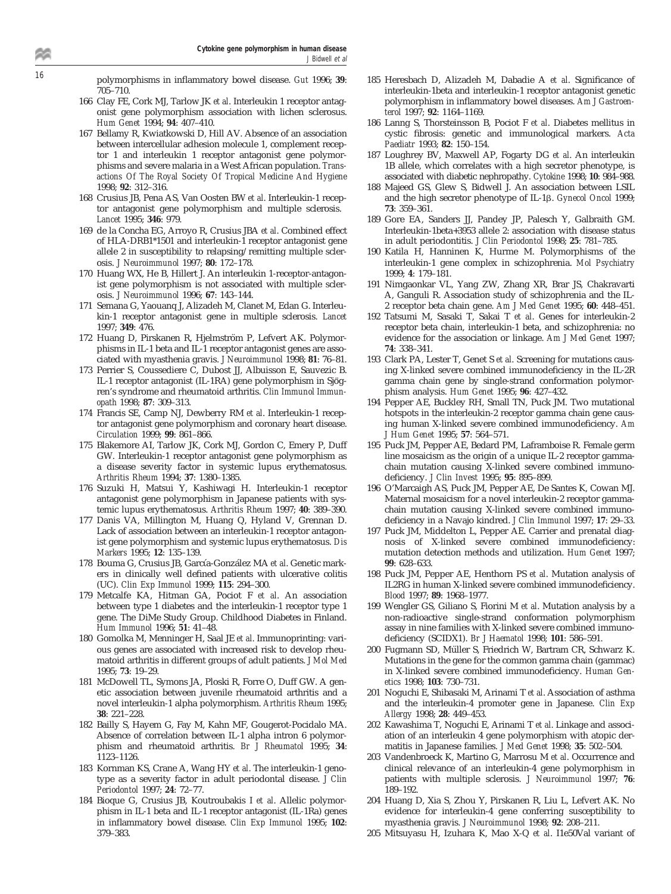<sup>16</sup> polymorphisms in inflammatory bowel disease. *Gut* 1996; **<sup>39</sup>**: 705–710.

- 166 Clay FE, Cork MJ, Tarlow JK *et al*. Interleukin 1 receptor antagonist gene polymorphism association with lichen sclerosus. *Hum Genet* 1994; **94**: 407–410.
- 167 Bellamy R, Kwiatkowski D, Hill AV. Absence of an association between intercellular adhesion molecule 1, complement receptor 1 and interleukin 1 receptor antagonist gene polymorphisms and severe malaria in a West African population. *Transactions Of The Royal Society Of Tropical Medicine And Hygiene* 1998; **92**: 312–316.
- 168 Crusius JB, Pena AS, Van Oosten BW *et al*. Interleukin-1 receptor antagonist gene polymorphism and multiple sclerosis. *Lancet* 1995; **346**: 979.
- 169 de la Concha EG, Arroyo R, Crusius JBA *et al*. Combined effect of HLA-DRB1\*1501 and interleukin-1 receptor antagonist gene allele 2 in susceptibility to relapsing/remitting multiple sclerosis. *J Neuroimmunol* 1997; **80**: 172–178.
- 170 Huang WX, He B, Hillert J. An interleukin 1-receptor-antagonist gene polymorphism is not associated with multiple sclerosis. *J Neuroimmunol* 1996; **67**: 143–144.
- 171 Semana G, Yaouanq J, Alizadeh M, Clanet M, Edan G. Interleukin-1 receptor antagonist gene in multiple sclerosis. *Lancet* 1997; **349**: 476.
- 172 Huang D, Pirskanen R, Hjelmström P, Lefvert AK. Polymorphisms in IL-1 beta and IL-1 receptor antagonist genes are associated with myasthenia gravis. *J Neuroimmunol* 1998; **81**: 76–81.
- 173 Perrier S, Coussediere C, Dubost JJ, Albuisson E, Sauvezic B. IL-1 receptor antagonist (IL-1RA) gene polymorphism in Sjögren's syndrome and rheumatoid arthritis. *Clin Immunol Immunopath* 1998; **87**: 309–313.
- 174 Francis SE, Camp NJ, Dewberry RM *et al*. Interleukin-1 receptor antagonist gene polymorphism and coronary heart disease. *Circulation* 1999; **99**: 861–866.
- 175 Blakemore AI, Tarlow JK, Cork MJ, Gordon C, Emery P, Duff GW. Interleukin-1 receptor antagonist gene polymorphism as a disease severity factor in systemic lupus erythematosus. *Arthritis Rheum* 1994; **37**: 1380–1385.
- 176 Suzuki H, Matsui Y, Kashiwagi H. Interleukin-1 receptor antagonist gene polymorphism in Japanese patients with systemic lupus erythematosus. *Arthritis Rheum* 1997; **40**: 389–390.
- 177 Danis VA, Millington M, Huang Q, Hyland V, Grennan D. Lack of association between an interleukin-1 receptor antagonist gene polymorphism and systemic lupus erythematosus. *Dis Markers* 1995; **12**: 135–139.
- 178 Bouma G, Crusius JB, García-González MA et al. Genetic markers in clinically well defined patients with ulcerative colitis (UC). *Clin Exp Immunol* 1999; **115**: 294–300.
- 179 Metcalfe KA, Hitman GA, Pociot F *et al*. An association between type 1 diabetes and the interleukin-1 receptor type 1 gene. The DiMe Study Group. Childhood Diabetes in Finland. *Hum Immunol* 1996; **51**: 41–48.
- 180 Gomolka M, Menninger H, Saal JE *et al*. Immunoprinting: various genes are associated with increased risk to develop rheumatoid arthritis in different groups of adult patients. *J Mol Med* 1995; **73**: 19–29.
- 181 McDowell TL, Symons JA, Ploski R, Forre O, Duff GW. A genetic association between juvenile rheumatoid arthritis and a novel interleukin-1 alpha polymorphism. *Arthritis Rheum* 1995; **38**: 221–228.
- 182 Bailly S, Hayem G, Fay M, Kahn MF, Gougerot-Pocidalo MA. Absence of correlation between IL-1 alpha intron 6 polymorphism and rheumatoid arthritis. *Br J Rheumatol* 1995; **34**: 1123–1126.
- 183 Kornman KS, Crane A, Wang HY *et al*. The interleukin-1 genotype as a severity factor in adult periodontal disease. *J Clin Periodontol* 1997; **24**: 72–77.
- 184 Bioque G, Crusius JB, Koutroubakis I *et al*. Allelic polymorphism in IL-1 beta and IL-1 receptor antagonist (IL-1Ra) genes in inflammatory bowel disease. *Clin Exp Immunol* 1995; **102**: 379–383.
- 185 Heresbach D, Alizadeh M, Dabadie A *et al*. Significance of interleukin-1beta and interleukin-1 receptor antagonist genetic polymorphism in inflammatory bowel diseases. *Am J Gastroenterol* 1997; **92**: 1164–1169.
- 186 Lanng S, Thorsteinsson B, Pociot F *et al*. Diabetes mellitus in cystic fibrosis: genetic and immunological markers. *Acta Paediatr* 1993; **82**: 150–154.
- 187 Loughrey BV, Maxwell AP, Fogarty DG *et al*. An interleukin 1B allele, which correlates with a high secretor phenotype, is associated with diabetic nephropathy. *Cytokine* 1998; **10**: 984–988.
- 188 Majeed GS, Glew S, Bidwell J. An association between LSIL and the high secretor phenotype of IL-1 $\beta$ . *Gynecol Oncol* 1999; **73**: 359–361.
- 189 Gore EA, Sanders JJ, Pandey JP, Palesch Y, Galbraith GM. Interleukin-1beta+3953 allele 2: association with disease status in adult periodontitis. *J Clin Periodontol* 1998; **25**: 781–785.
- 190 Katila H, Hanninen K, Hurme M. Polymorphisms of the interleukin-1 gene complex in schizophrenia. *Mol Psychiatry* 1999; **4**: 179–181.
- 191 Nimgaonkar VL, Yang ZW, Zhang XR, Brar JS, Chakravarti A, Ganguli R. Association study of schizophrenia and the IL-2 receptor beta chain gene. *Am J Med Genet* 1995; **60**: 448–451.
- 192 Tatsumi M, Sasaki T, Sakai T *et al*. Genes for interleukin-2 receptor beta chain, interleukin-1 beta, and schizophrenia: no evidence for the association or linkage. *Am J Med Genet* 1997; **74**: 338–341.
- 193 Clark PA, Lester T, Genet S *et al*. Screening for mutations causing X-linked severe combined immunodeficiency in the IL-2R gamma chain gene by single-strand conformation polymorphism analysis. *Hum Genet* 1995; **96**: 427–432.
- 194 Pepper AE, Buckley RH, Small TN, Puck JM. Two mutational hotspots in the interleukin-2 receptor gamma chain gene causing human X-linked severe combined immunodeficiency. *Am J Hum Genet* 1995; **57**: 564–571.
- 195 Puck JM, Pepper AE, Bedard PM, Laframboise R. Female germ line mosaicism as the origin of a unique IL-2 receptor gammachain mutation causing X-linked severe combined immunodeficiency. *J Clin Invest* 1995; **95**: 895–899.
- 196 O'Marcaigh AS, Puck JM, Pepper AE, De Santes K, Cowan MJ. Maternal mosaicism for a novel interleukin-2 receptor gammachain mutation causing X-linked severe combined immunodeficiency in a Navajo kindred. *J Clin Immunol* 1997; **17**: 29–33.
- 197 Puck JM, Middelton L, Pepper AE. Carrier and prenatal diagnosis of X-linked severe combined immunodeficiency: mutation detection methods and utilization. *Hum Genet* 1997; **99**: 628–633.
- 198 Puck JM, Pepper AE, Henthorn PS *et al*. Mutation analysis of IL2RG in human X-linked severe combined immunodeficiency. *Blood* 1997; **89**: 1968–1977.
- 199 Wengler GS, Giliano S, Fiorini M *et al*. Mutation analysis by a non-radioactive single-strand conformation polymorphism assay in nine families with X-linked severe combined immunodeficiency (SCIDX1). *Br J Haematol* 1998; **101**: 586–591.
- 200 Fugmann SD, Müller S, Friedrich W, Bartram CR, Schwarz K. Mutations in the gene for the common gamma chain (gammac) in X-linked severe combined immunodeficiency. *Human Genetics* 1998; **103**: 730–731.
- 201 Noguchi E, Shibasaki M, Arinami T *et al*. Association of asthma and the interleukin-4 promoter gene in Japanese. *Clin Exp Allergy* 1998; **28**: 449–453.
- 202 Kawashima T, Noguchi E, Arinami T *et al*. Linkage and association of an interleukin 4 gene polymorphism with atopic dermatitis in Japanese families. *J Med Genet* 1998; **35**: 502–504.
- 203 Vandenbroeck K, Martino G, Marrosu M *et al*. Occurrence and clinical relevance of an interleukin-4 gene polymorphism in patients with multiple sclerosis. *J Neuroimmunol* 1997; **76**: 189–192.
- 204 Huang D, Xia S, Zhou Y, Pirskanen R, Liu L, Lefvert AK. No evidence for interleukin-4 gene conferring susceptibility to myasthenia gravis. *J Neuroimmunol* 1998; **92**: 208–211.
- 205 Mitsuyasu H, Izuhara K, Mao X-Q *et al*. I1e50Val variant of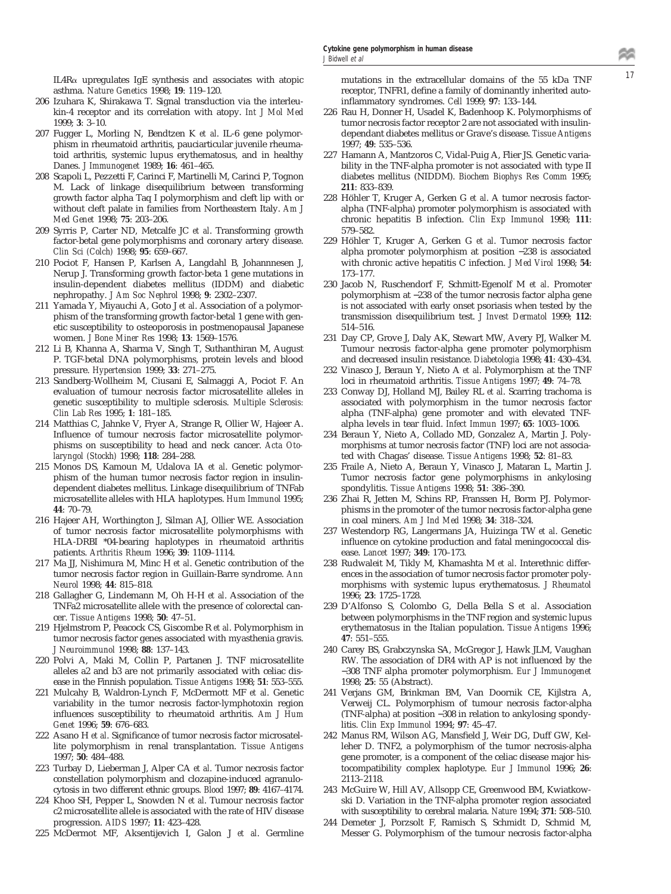IL4R $\alpha$  upregulates IgE synthesis and associates with atopic mutations in the extracellular domains of the 55 kDa TNF  $17$ asthma. *Nature Genetics* 1998; **19**: 119–120.

- 206 Izuhara K, Shirakawa T. Signal transduction via the interleukin-4 receptor and its correlation with atopy. *Int J Mol Med* 1999; **3**: 3–10.
- 207 Fugger L, Morling N, Bendtzen K *et al*. IL-6 gene polymorphism in rheumatoid arthritis, pauciarticular juvenile rheumatoid arthritis, systemic lupus erythematosus, and in healthy Danes. *J Immunogenet* 1989; **16**: 461–465.
- 208 Scapoli L, Pezzetti F, Carinci F, Martinelli M, Carinci P, Tognon M. Lack of linkage disequilibrium between transforming growth factor alpha Taq I polymorphism and cleft lip with or without cleft palate in families from Northeastern Italy. *Am J Med Genet* 1998; **75**: 203–206.
- 209 Syrris P, Carter ND, Metcalfe JC *et al*. Transforming growth factor-betal gene polymorphisms and coronary artery disease. *Clin Sci (Colch)* 1998; **95**: 659–667.
- 210 Pociot F, Hansen P, Karlsen A, Langdahl B, Johannnesen J, Nerup J. Transforming growth factor-beta 1 gene mutations in insulin-dependent diabetes mellitus (IDDM) and diabetic nephropathy. *J Am Soc Nephrol* 1998; **9**: 2302–2307.
- 211 Yamada Y, Miyauchi A, Goto J *et al*. Association of a polymorphism of the transforming growth factor-betal 1 gene with genetic susceptibility to osteoporosis in postmenopausal Japanese women. *J Bone Miner Res* 1998; **13**: 1569–1576.
- 212 Li B, Khanna A, Sharma V, Singh T, Suthanthiran M, August P. TGF-betal DNA polymorphisms, protein levels and blood pressure. *Hypertension* 1999; **33**: 271–275.
- 213 Sandberg-Wollheim M, Ciusani E, Salmaggi A, Pociot F. An evaluation of tumour necrosis factor microsatellite alleles in genetic susceptibility to multiple sclerosis. *Multiple Sclerosis: Clin Lab Res* 1995; **1**: 181–185.
- 214 Matthias C, Jahnke V, Fryer A, Strange R, Ollier W, Hajeer A. Influence of tumour necrosis factor microsatellite polymorphisms on susceptibility to head and neck cancer. *Acta Otolaryngol (Stockh)* 1998; **118**: 284–288.
- 215 Monos DS, Kamoun M, Udalova IA *et al*. Genetic polymorphism of the human tumor necrosis factor region in insulindependent diabetes mellitus. Linkage disequilibrium of TNFab microsatellite alleles with HLA haplotypes. *Hum Immunol* 1995; **44**: 70–79.
- 216 Hajeer AH, Worthington J, Silman AJ, Ollier WE. Association of tumor necrosis factor microsatellite polymorphisms with HLA-DRBI \*04-bearing haplotypes in rheumatoid arthritis patients. *Arthritis Rheum* 1996; **39**: 1109–1114.
- 217 Ma JJ, Nishimura M, Minc H *et al*. Genetic contribution of the tumor necrosis factor region in Guillain-Barre syndrome. *Ann Neurol* 1998; **44**: 815–818.
- 218 Gallagher G, Lindemann M, Oh H-H *et al*. Association of the TNFa2 microsatellite allele with the presence of colorectal cancer. *Tissue Antigens* 1998; **50**: 47–51.
- 219 Hjelmstrom P, Peacock CS, Giscombe R *et al*. Polymorphism in tumor necrosis factor genes associated with myasthenia gravis. *J Neuroimmunol* 1998; **88**: 137–143.
- 220 Polvi A, Maki M, Collin P, Partanen J. TNF microsatellite alleles a2 and b3 are not primarily associated with celiac disease in the Finnish population. *Tissue Antigens* 1998; **51**: 553–555.
- 221 Mulcahy B, Waldron-Lynch F, McDermott MF *et al*. Genetic variability in the tumor necrosis factor-lymphotoxin region influences susceptibility to rheumatoid arthritis. *Am J Hum Genet* 1996; **59**: 676–683.
- 222 Asano H *et al*. Significance of tumor necrosis factor microsatellite polymorphism in renal transplantation. *Tissue Antigens* 1997; **50**: 484–488.
- 223 Turbay D, Lieberman J, Alper CA *et al*. Tumor necrosis factor constellation polymorphism and clozapine-induced agranulocytosis in two different ethnic groups. *Blood* 1997; **89**: 4167–4174.
- 224 Khoo SH, Pepper L, Snowden N *et al*. Tumour necrosis factor c2 microsatellite allele is associated with the rate of HIV disease progression. *AIDS* 1997; **11**: 423–428.
- 225 McDermot MF, Aksentijevich I, Galon J *et al*. Germline

mutations in the extracellular domains of the 55 kDa TNF receptor, TNFR1, define a family of dominantly inherited autoinflammatory syndromes. *Cell* 1999; **97**: 133–144.

- 226 Rau H, Donner H, Usadel K, Badenhoop K. Polymorphisms of tumor necrosis factor receptor 2 are not associated with insulindependant diabetes mellitus or Grave's disease. *Tissue Antigens* 1997; **49**: 535–536.
- 227 Hamann A, Mantzoros C, Vidal-Puig A, Flier JS. Genetic variability in the TNF-alpha promoter is not associated with type II diabetes mellitus (NIDDM). *Biochem Biophys Res Comm* 1995; **211**: 833–839.
- 228 Höhler T, Kruger A, Gerken G et al. A tumor necrosis factoralpha (TNF-alpha) promoter polymorphism is associated with chronic hepatitis B infection. *Clin Exp Immunol* 1998; **111**: 579–582.
- 229 Höhler T, Kruger A, Gerken G et al. Tumor necrosis factor alpha promoter polymorphism at position −238 is associated with chronic active hepatitis C infection. *J Med Virol* 1998; **54**: 173–177.
- 230 Jacob N, Ruschendorf F, Schmitt-Egenolf M *et al*. Promoter polymorphism at −238 of the tumor necrosis factor alpha gene is not associated with early onset psoriasis when tested by the transmission disequilibrium test. *J Invest Dermatol* 1999; **112**: 514–516.
- 231 Day CP, Grove J, Daly AK, Stewart MW, Avery PJ, Walker M. Tumour necrosis factor-alpha gene promoter polymorphism and decreased insulin resistance. *Diabetologia* 1998; **41**: 430–434.
- 232 Vinasco J, Beraun Y, Nieto A *et al*. Polymorphism at the TNF loci in rheumatoid arthritis. *Tissue Antigens* 1997; **49**: 74–78.
- 233 Conway DJ, Holland MJ, Bailey RL *et al*. Scarring trachoma is associated with polymorphism in the tumor necrosis factor alpha (TNF-alpha) gene promoter and with elevated TNFalpha levels in tear fluid. *Infect Immun* 1997; **65**: 1003–1006.
- 234 Beraun Y, Nieto A, Collado MD, Gonzalez A, Martin J. Polymorphisms at tumor necrosis factor (TNF) loci are not associated with Chagas' disease. *Tissue Antigens* 1998; **52**: 81–83.
- 235 Fraile A, Nieto A, Beraun Y, Vinasco J, Mataran L, Martin J. Tumor necrosis factor gene polymorphisms in ankylosing spondylitis. *Tissue Antigens* 1998; **51**: 386–390.
- 236 Zhai R, Jetten M, Schins RP, Franssen H, Borm PJ. Polymorphisms in the promoter of the tumor necrosis factor-alpha gene in coal miners. *Am J Ind Med* 1998; **34**: 318–324.
- 237 Westendorp RG, Langermans JA, Huizinga TW *et al*. Genetic influence on cytokine production and fatal meningococcal disease. *Lancet* 1997; **349**: 170–173.
- 238 Rudwaleit M, Tikly M, Khamashta M *et al*. Interethnic differences in the association of tumor necrosis factor promoter polymorphisms with systemic lupus erythematosus. *J Rheumatol* 1996; **23**: 1725–1728.
- 239 D'Alfonso S, Colombo G, Della Bella S *et al*. Association between polymorphisms in the TNF region and systemic lupus erythematosus in the Italian population. *Tissue Antigens* 1996; **47**: 551–555.
- 240 Carey BS, Grabczynska SA, McGregor J, Hawk JLM, Vaughan RW. The association of DR4 with AP is not influenced by the −308 TNF alpha promoter polymorphism. *Eur J Immunogenet* 1998; **25**: 55 (Abstract).
- 241 Verjans GM, Brinkman BM, Van Doornik CE, Kijlstra A, Verweij CL. Polymorphism of tumour necrosis factor-alpha (TNF-alpha) at position −308 in relation to ankylosing spondylitis. *Clin Exp Immunol* 1994; **97**: 45–47.
- 242 Manus RM, Wilson AG, Mansfield J, Weir DG, Duff GW, Kelleher D. TNF2, a polymorphism of the tumor necrosis-alpha gene promoter, is a component of the celiac disease major histocompatibility complex haplotype. *Eur J Immunol* 1996; **26**: 2113–2118.
- 243 McGuire W, Hill AV, Allsopp CE, Greenwood BM, Kwiatkowski D. Variation in the TNF-alpha promoter region associated with susceptibility to cerebral malaria. *Nature* 1994; **371**: 508–510.
- 244 Demeter J, Porzsolt F, Ramisch S, Schmidt D, Schmid M, Messer G. Polymorphism of the tumour necrosis factor-alpha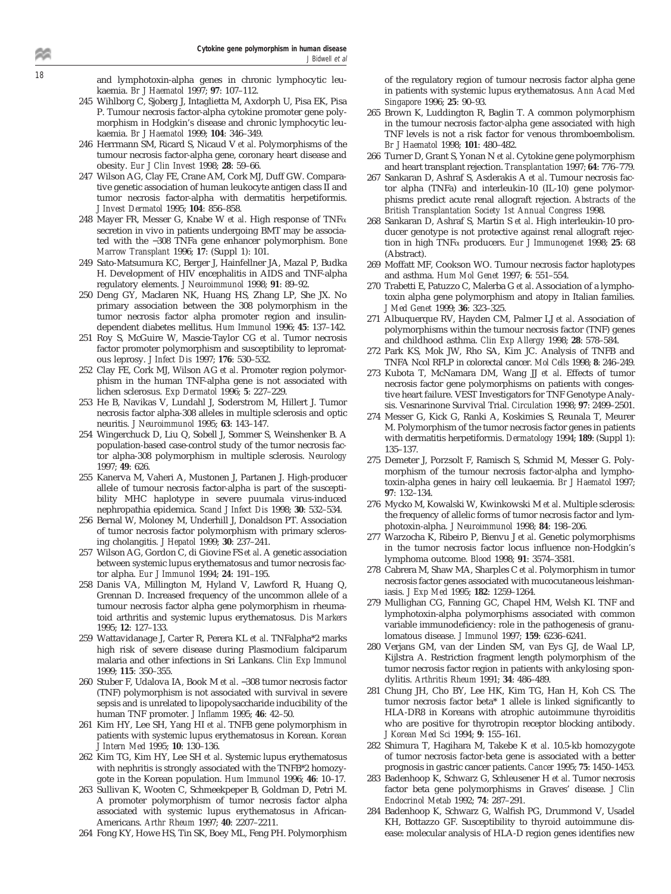<sup>18</sup> and lymphotoxin-alpha genes in chronic lymphocytic leukaemia. *Br J Haematol* 1997; **97**: 107–112.

- 245 Wihlborg C, Sjoberg J, Intaglietta M, Axdorph U, Pisa EK, Pisa P. Tumour necrosis factor-alpha cytokine promoter gene polymorphism in Hodgkin's disease and chronic lymphocytic leukaemia. *Br J Haematol* 1999; **104**: 346–349.
- 246 Herrmann SM, Ricard S, Nicaud V *et al*. Polymorphisms of the tumour necrosis factor-alpha gene, coronary heart disease and obesity. *Eur J Clin Invest* 1998; **28**: 59–66.
- 247 Wilson AG, Clay FE, Crane AM, Cork MJ, Duff GW. Comparative genetic association of human leukocyte antigen class II and tumor necrosis factor-alpha with dermatitis herpetiformis. *J Invest Dermatol* 1995; **104**: 856–858.
- 248 Mayer FR, Messer G, Knabe W *et al*. High response of TNFa secretion in vivo in patients undergoing BMT may be associated with the −308 TNFa gene enhancer polymorphism. *Bone Marrow Transplant* 1996; **17**: (Suppl 1): 101.
- 249 Sato-Matsumura KC, Berger J, Hainfellner JA, Mazal P, Budka H. Development of HIV encephalitis in AIDS and TNF-alpha regulatory elements. *J Neuroimmunol* 1998; **91**: 89–92.
- 250 Deng GY, Maclaren NK, Huang HS, Zhang LP, She JX. No primary association between the 308 polymorphism in the tumor necrosis factor alpha promoter region and insulindependent diabetes mellitus. *Hum Immunol* 1996; **45**: 137–142.
- 251 Roy S, McGuire W, Mascie-Taylor CG *et al*. Tumor necrosis factor promoter polymorphism and susceptibility to lepromatous leprosy. *J Infect Dis* 1997; **176**: 530–532.
- 252 Clay FE, Cork MJ, Wilson AG *et al*. Promoter region polymorphism in the human TNF-alpha gene is not associated with lichen sclerosus. *Exp Dermatol* 1996; **5**: 227–229.
- 253 He B, Navikas V, Lundahl J, Soderstrom M, Hillert J. Tumor necrosis factor alpha-308 alleles in multiple sclerosis and optic neuritis. *J Neuroimmunol* 1995; **63**: 143–147.
- 254 Wingerchuck D, Liu Q, Sobell J, Sommer S, Weinshenker B. A population-based case-control study of the tumor necrosis factor alpha-308 polymorphism in multiple sclerosis. *Neurology* 1997; **49**: 626.
- 255 Kanerva M, Vaheri A, Mustonen J, Partanen J. High-producer allele of tumour necrosis factor-alpha is part of the susceptibility MHC haplotype in severe puumala virus-induced nephropathia epidemica. *Scand J Infect Dis* 1998; **30**: 532–534.
- 256 Bernal W, Moloney M, Underhill J, Donaldson PT. Association of tumor necrosis factor polymorphism with primary sclerosing cholangitis. *J Hepatol* 1999; **30**: 237–241.
- 257 Wilson AG, Gordon C, di Giovine FS *et al*. A genetic association between systemic lupus erythematosus and tumor necrosis factor alpha. *Eur J Immunol* 1994; **24**: 191–195.
- 258 Danis VA, Millington M, Hyland V, Lawford R, Huang Q, Grennan D. Increased frequency of the uncommon allele of a tumour necrosis factor alpha gene polymorphism in rheumatoid arthritis and systemic lupus erythematosus. *Dis Markers* 1995; **12**: 127–133.
- 259 Wattavidanage J, Carter R, Perera KL *et al*. TNFalpha\*2 marks high risk of severe disease during Plasmodium falciparum malaria and other infections in Sri Lankans. *Clin Exp Immunol* 1999; **115**: 350–355.
- 260 Stuber F, Udalova IA, Book M *et al*. −308 tumor necrosis factor (TNF) polymorphism is not associated with survival in severe sepsis and is unrelated to lipopolysaccharide inducibility of the human TNF promoter. *J Inflamm* 1995; **46**: 42–50.
- 261 Kim HY, Lee SH, Yang HI *et al*. TNFB gene polymorphism in patients with systemic lupus erythematosus in Korean. *Korean J Intern Med* 1995; **10**: 130–136.
- 262 Kim TG, Kim HY, Lee SH *et al*. Systemic lupus erythematosus with nephritis is strongly associated with the TNFB\*2 homozygote in the Korean population. *Hum Immunol* 1996; **46**: 10–17.
- 263 Sullivan K, Wooten C, Schmeekpeper B, Goldman D, Petri M. A promoter polymorphism of tumor necrosis factor alpha associated with systemic lupus erythematosus in African-Americans. *Arthr Rheum* 1997; **40**: 2207–2211.
- 264 Fong KY, Howe HS, Tin SK, Boey ML, Feng PH. Polymorphism

of the regulatory region of tumour necrosis factor alpha gene in patients with systemic lupus erythematosus. *Ann Acad Med Singapore* 1996; **25**: 90–93.

- 265 Brown K, Luddington R, Baglin T. A common polymorphism in the tumour necrosis factor-alpha gene associated with high TNF levels is not a risk factor for venous thromboembolism. *Br J Haematol* 1998; **101**: 480–482.
- 266 Turner D, Grant S, Yonan N *et al*. Cytokine gene polymorphism and heart transplant rejection. *Transplantation* 1997; **64**: 776–779.
- 267 Sankaran D, Ashraf S, Asderakis A *et al*. Tumour necrosis factor alpha (TNFa) and interleukin-10 (IL-10) gene polymorphisms predict acute renal allograft rejection. *Abstracts of the British Transplantation Society 1st Annual Congress* 1998.
- 268 Sankaran D, Ashraf S, Martin S *et al*. High interleukin-10 producer genotype is not protective against renal allograft rejection in high TNFa producers. *Eur J Immunogenet* 1998; **25**: 68 (Abstract).
- 269 Moffatt MF, Cookson WO. Tumour necrosis factor haplotypes and asthma. *Hum Mol Genet* 1997; **6**: 551–554.
- 270 Trabetti E, Patuzzo C, Malerba G *et al*. Association of a lymphotoxin alpha gene polymorphism and atopy in Italian families. *J Med Genet* 1999; **36**: 323–325.
- 271 Albuquerque RV, Hayden CM, Palmer LJ *et al*. Association of polymorphisms within the tumour necrosis factor (TNF) genes and childhood asthma. *Clin Exp Allergy* 1998; **28**: 578–584.
- 272 Park KS, Mok JW, Rho SA, Kim JC. Analysis of TNFB and TNFA Ncol RFLP in colorectal cancer. *Mol Cells* 1998; **8**: 246–249.
- 273 Kubota T, McNamara DM, Wang JJ *et al*. Effects of tumor necrosis factor gene polymorphisms on patients with congestive heart failure. VEST Investigators for TNF Genotype Analysis. Vesnarinone Survival Trial. *Circulation* 1998; **97**: 2499–2501.
- 274 Messer G, Kick G, Ranki A, Koskimies S, Reunala T, Meurer M. Polymorphism of the tumor necrosis factor genes in patients with dermatitis herpetiformis. *Dermatology* 1994; **189**: (Suppl 1): 135–137.
- 275 Demeter J, Porzsolt F, Ramisch S, Schmid M, Messer G. Polymorphism of the tumour necrosis factor-alpha and lymphotoxin-alpha genes in hairy cell leukaemia. *Br J Haematol* 1997; **97**: 132–134.
- 276 Mycko M, Kowalski W, Kwinkowski M *et al*. Multiple sclerosis: the frequency of allelic forms of tumor necrosis factor and lymphotoxin-alpha. *J Neuroimmunol* 1998; **84**: 198–206.
- 277 Warzocha K, Ribeiro P, Bienvu J *et al*. Genetic polymorphisms in the tumor necrosis factor locus influence non-Hodgkin's lymphoma outcome. *Blood* 1998; **91**: 3574–3581.
- 278 Cabrera M, Shaw MA, Sharples C *et al*. Polymorphism in tumor necrosis factor genes associated with mucocutaneous leishmaniasis. *J Exp Med* 1995; **182**: 1259–1264.
- 279 Mullighan CG, Fanning GC, Chapel HM, Welsh KI. TNF and lymphotoxin-alpha polymorphisms associated with common variable immunodeficiency: role in the pathogenesis of granulomatous disease. *J Immunol* 1997; **159**: 6236–6241.
- 280 Verjans GM, van der Linden SM, van Eys GJ, de Waal LP, Kijlstra A. Restriction fragment length polymorphism of the tumor necrosis factor region in patients with ankylosing spondylitis. *Arthritis Rheum* 1991; **34**: 486–489.
- 281 Chung JH, Cho BY, Lee HK, Kim TG, Han H, Koh CS. The tumor necrosis factor beta\* 1 allele is linked significantly to HLA-DR8 in Koreans with atrophic autoimmune thyroiditis who are positive for thyrotropin receptor blocking antibody. *J Korean Med Sci* 1994; **9**: 155–161.
- 282 Shimura T, Hagihara M, Takebe K *et al*. 10.5-kb homozygote of tumor necrosis factor-beta gene is associated with a better prognosis in gastric cancer patients. *Cancer* 1995; **75**: 1450–1453.
- 283 Badenhoop K, Schwarz G, Schleusener H *et al*. Tumor necrosis factor beta gene polymorphisms in Graves' disease. *J Clin Endocrinol Metab* 1992; **74**: 287–291.
- 284 Badenhoop K, Schwarz G, Walfish PG, Drummond V, Usadel KH, Bottazzo GF. Susceptibility to thyroid autoimmune disease: molecular analysis of HLA-D region genes identifies new